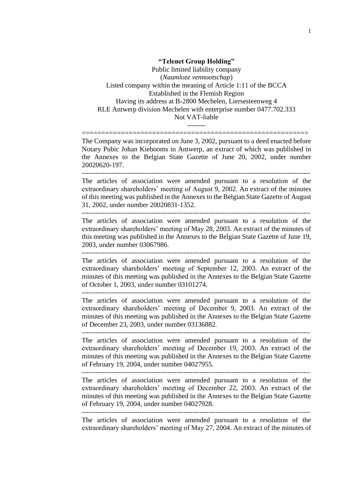**"Telenet Group Holding"** Public limited liability company (*Naamloze vennootschap*) Listed company within the meaning of Article 1:11 of the BCCA Established in the Flemish Region Having its address at B-2800 Mechelen, Liersesteenweg 4 RLE Antwerp division Mechelen with enterprise number 0477.702.333 Not VAT-liable

========================================================== The Company was incorporated on June 3, 2002, pursuant to a deed enacted before Notary Pubic Johan Kiebooms in Antwerp, an extract of which was published in the Annexes to the Belgian State Gazette of June 20, 2002, under number 20020620-197.

--------

The articles of association were amended pursuant to a resolution of the extraordinary shareholders' meeting of August 9, 2002. An extract of the minutes of this meeting was published in the Annexes to the Belgian State Gazette of August 31, 2002, under number 20020831-1352.

--------------------------------------------------------------------------------------------------- The articles of association were amended pursuant to a resolution of the extraordinary shareholders' meeting of May 28, 2003. An extract of the minutes of this meeting was published in the Annexes to the Belgian State Gazette of June 19, 2003, under number 03067986.

--------------------------------------------------------------------------------------------------- The articles of association were amended pursuant to a resolution of the extraordinary shareholders' meeting of September 12, 2003. An extract of the minutes of this meeting was published in the Annexes to the Belgian State Gazette of October 1, 2003, under number 03101274.

--------------------------------------------------------------------------------------------------- The articles of association were amended pursuant to a resolution of the extraordinary shareholders' meeting of December 9, 2003. An extract of the minutes of this meeting was published in the Annexes to the Belgian State Gazette of December 23, 2003, under number 03136882.

--------------------------------------------------------------------------------------------------- The articles of association were amended pursuant to a resolution of the extraordinary shareholders' meeting of December 19, 2003. An extract of the minutes of this meeting was published in the Annexes to the Belgian State Gazette of February 19, 2004, under number 04027955.

---------------------------------------------------------------------------------------------------

The articles of association were amended pursuant to a resolution of the extraordinary shareholders' meeting of December 22, 2003. An extract of the minutes of this meeting was published in the Annexes to the Belgian State Gazette of February 19, 2004, under number 04027928.

---------------------------------------------------------------------------------------------------

The articles of association were amended pursuant to a resolution of the extraordinary shareholders' meeting of May 27, 2004. An extract of the minutes of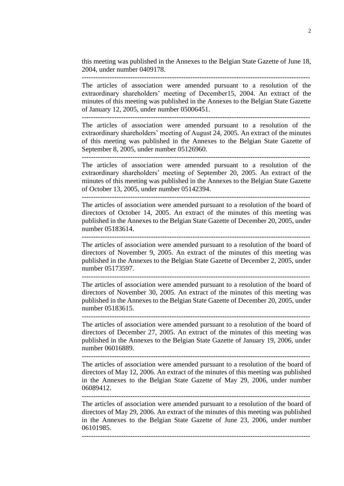this meeting was published in the Annexes to the Belgian State Gazette of June 18, 2004, under number 0409178.

The articles of association were amended pursuant to a resolution of the extraordinary shareholders' meeting of December15, 2004. An extract of the minutes of this meeting was published in the Annexes to the Belgian State Gazette of January 12, 2005, under number 05006451.

The articles of association were amended pursuant to a resolution of the extraordinary shareholders' meeting of August 24, 2005. An extract of the minutes of this meeting was published in the Annexes to the Belgian State Gazette of September 8, 2005, under number 05126960.

---------------------------------------------------------------------------------------------------

The articles of association were amended pursuant to a resolution of the extraordinary shareholders' meeting of September 20, 2005. An extract of the minutes of this meeting was published in the Annexes to the Belgian State Gazette of October 13, 2005, under number 05142394.

---------------------------------------------------------------------------------------------------

The articles of association were amended pursuant to a resolution of the board of directors of October 14, 2005. An extract of the minutes of this meeting was published in the Annexes to the Belgian State Gazette of December 20, 2005, under number 05183614.

---------------------------------------------------------------------------------------------------

The articles of association were amended pursuant to a resolution of the board of directors of November 9, 2005. An extract of the minutes of this meeting was published in the Annexes to the Belgian State Gazette of December 2, 2005, under number 05173597.

---------------------------------------------------------------------------------------------------

The articles of association were amended pursuant to a resolution of the board of directors of November 30, 2005. An extract of the minutes of this meeting was published in the Annexes to the Belgian State Gazette of December 20, 2005, under number 05183615.

---------------------------------------------------------------------------------------------------

The articles of association were amended pursuant to a resolution of the board of directors of December 27, 2005. An extract of the minutes of this meeting was published in the Annexes to the Belgian State Gazette of January 19, 2006, under number 06016889.

---------------------------------------------------------------------------------------------------

The articles of association were amended pursuant to a resolution of the board of directors of May 12, 2006. An extract of the minutes of this meeting was published in the Annexes to the Belgian State Gazette of May 29, 2006, under number 06089412.

---------------------------------------------------------------------------------------------------

The articles of association were amended pursuant to a resolution of the board of directors of May 29, 2006. An extract of the minutes of this meeting was published in the Annexes to the Belgian State Gazette of June 23, 2006, under number 06101985.

---------------------------------------------------------------------------------------------------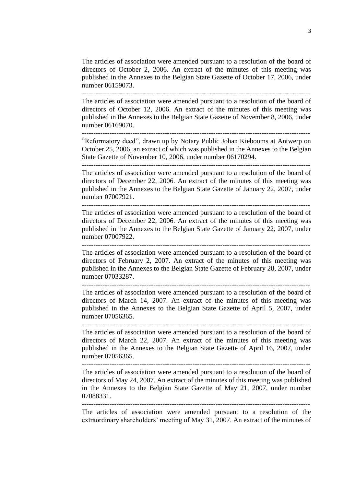The articles of association were amended pursuant to a resolution of the board of directors of October 2, 2006. An extract of the minutes of this meeting was published in the Annexes to the Belgian State Gazette of October 17, 2006, under number 06159073.

---------------------------------------------------------------------------------------------------

The articles of association were amended pursuant to a resolution of the board of directors of October 12, 2006. An extract of the minutes of this meeting was published in the Annexes to the Belgian State Gazette of November 8, 2006, under number 06169070.

--------------------------------------------------------------------------------------------------- "Reformatory deed", drawn up by Notary Public Johan Kiebooms at Antwerp on October 25, 2006, an extract of which was published in the Annexes to the Belgian

State Gazette of November 10, 2006, under number 06170294. ---------------------------------------------------------------------------------------------------

The articles of association were amended pursuant to a resolution of the board of directors of December 22, 2006. An extract of the minutes of this meeting was published in the Annexes to the Belgian State Gazette of January 22, 2007, under number 07007921.

---------------------------------------------------------------------------------------------------

The articles of association were amended pursuant to a resolution of the board of directors of December 22, 2006. An extract of the minutes of this meeting was published in the Annexes to the Belgian State Gazette of January 22, 2007, under number 07007922.

---------------------------------------------------------------------------------------------------

The articles of association were amended pursuant to a resolution of the board of directors of February 2, 2007. An extract of the minutes of this meeting was published in the Annexes to the Belgian State Gazette of February 28, 2007, under number 07033287.

---------------------------------------------------------------------------------------------------

The articles of association were amended pursuant to a resolution of the board of directors of March 14, 2007. An extract of the minutes of this meeting was published in the Annexes to the Belgian State Gazette of April 5, 2007, under number 07056365.

---------------------------------------------------------------------------------------------------

The articles of association were amended pursuant to a resolution of the board of directors of March 22, 2007. An extract of the minutes of this meeting was published in the Annexes to the Belgian State Gazette of April 16, 2007, under number 07056365.

---------------------------------------------------------------------------------------------------

The articles of association were amended pursuant to a resolution of the board of directors of May 24, 2007. An extract of the minutes of this meeting was published in the Annexes to the Belgian State Gazette of May 21, 2007, under number 07088331.

The articles of association were amended pursuant to a resolution of the extraordinary shareholders' meeting of May 31, 2007. An extract of the minutes of

---------------------------------------------------------------------------------------------------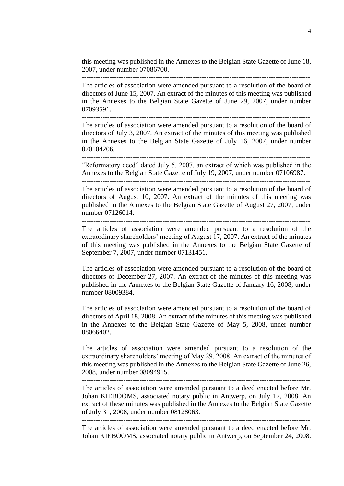this meeting was published in the Annexes to the Belgian State Gazette of June 18, 2007, under number 07086700. ---------------------------------------------------------------------------------------------------

The articles of association were amended pursuant to a resolution of the board of directors of June 15, 2007. An extract of the minutes of this meeting was published in the Annexes to the Belgian State Gazette of June 29, 2007, under number 07093591.

The articles of association were amended pursuant to a resolution of the board of directors of July 3, 2007. An extract of the minutes of this meeting was published in the Annexes to the Belgian State Gazette of July 16, 2007, under number 070104206.

---------------------------------------------------------------------------------------------------

"Reformatory deed" dated July 5, 2007, an extract of which was published in the Annexes to the Belgian State Gazette of July 19, 2007, under number 07106987. ---------------------------------------------------------------------------------------------------

The articles of association were amended pursuant to a resolution of the board of directors of August 10, 2007. An extract of the minutes of this meeting was published in the Annexes to the Belgian State Gazette of August 27, 2007, under number 07126014.

---------------------------------------------------------------------------------------------------

The articles of association were amended pursuant to a resolution of the extraordinary shareholders' meeting of August 17, 2007. An extract of the minutes of this meeting was published in the Annexes to the Belgian State Gazette of September 7, 2007, under number 07131451. ---------------------------------------------------------------------------------------------------

The articles of association were amended pursuant to a resolution of the board of directors of December 27, 2007. An extract of the minutes of this meeting was published in the Annexes to the Belgian State Gazette of January 16, 2008, under number 08009384.

The articles of association were amended pursuant to a resolution of the board of directors of April 18, 2008. An extract of the minutes of this meeting was published in the Annexes to the Belgian State Gazette of May 5, 2008, under number 08066402.

---------------------------------------------------------------------------------------------------

--------------------------------------------------------------------------------------------------- The articles of association were amended pursuant to a resolution of the extraordinary shareholders' meeting of May 29, 2008. An extract of the minutes of this meeting was published in the Annexes to the Belgian State Gazette of June 26,

---------------------------------------------------------------------------------------------------

2008, under number 08094915.

The articles of association were amended pursuant to a deed enacted before Mr. Johan KIEBOOMS, associated notary public in Antwerp, on July 17, 2008. An extract of these minutes was published in the Annexes to the Belgian State Gazette of July 31, 2008, under number 08128063.

---------------------------------------------------------------------------------------------------

The articles of association were amended pursuant to a deed enacted before Mr. Johan KIEBOOMS, associated notary public in Antwerp, on September 24, 2008.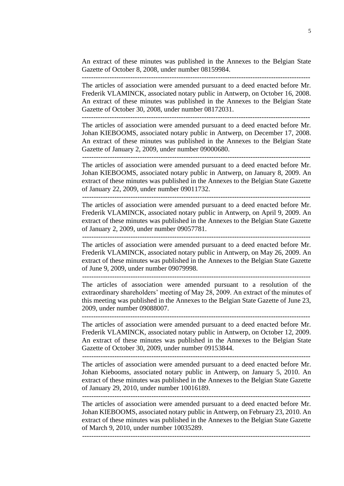An extract of these minutes was published in the Annexes to the Belgian State Gazette of October 8, 2008, under number 08159984.

The articles of association were amended pursuant to a deed enacted before Mr. Frederik VLAMINCK, associated notary public in Antwerp, on October 16, 2008. An extract of these minutes was published in the Annexes to the Belgian State Gazette of October 30, 2008, under number 08172031.

The articles of association were amended pursuant to a deed enacted before Mr. Johan KIEBOOMS, associated notary public in Antwerp, on December 17, 2008. An extract of these minutes was published in the Annexes to the Belgian State Gazette of January 2, 2009, under number 09000680.

---------------------------------------------------------------------------------------------------

The articles of association were amended pursuant to a deed enacted before Mr. Johan KIEBOOMS, associated notary public in Antwerp, on January 8, 2009. An extract of these minutes was published in the Annexes to the Belgian State Gazette of January 22, 2009, under number 09011732.

---------------------------------------------------------------------------------------------------

The articles of association were amended pursuant to a deed enacted before Mr. Frederik VLAMINCK, associated notary public in Antwerp, on April 9, 2009. An extract of these minutes was published in the Annexes to the Belgian State Gazette of January 2, 2009, under number 09057781.

---------------------------------------------------------------------------------------------------

The articles of association were amended pursuant to a deed enacted before Mr. Frederik VLAMINCK, associated notary public in Antwerp, on May 26, 2009. An extract of these minutes was published in the Annexes to the Belgian State Gazette of June 9, 2009, under number 09079998.

---------------------------------------------------------------------------------------------------

The articles of association were amended pursuant to a resolution of the extraordinary shareholders' meeting of May 28, 2009. An extract of the minutes of this meeting was published in the Annexes to the Belgian State Gazette of June 23, 2009, under number 09088007.

---------------------------------------------------------------------------------------------------

The articles of association were amended pursuant to a deed enacted before Mr. Frederik VLAMINCK, associated notary public in Antwerp, on October 12, 2009. An extract of these minutes was published in the Annexes to the Belgian State Gazette of October 30, 2009, under number 09153844.

The articles of association were amended pursuant to a deed enacted before Mr. Johan Kiebooms, associated notary public in Antwerp, on January 5, 2010. An extract of these minutes was published in the Annexes to the Belgian State Gazette of January 29, 2010, under number 10016189.

---------------------------------------------------------------------------------------------------

The articles of association were amended pursuant to a deed enacted before Mr. Johan KIEBOOMS, associated notary public in Antwerp, on February 23, 2010. An extract of these minutes was published in the Annexes to the Belgian State Gazette of March 9, 2010, under number 10035289.

---------------------------------------------------------------------------------------------------

5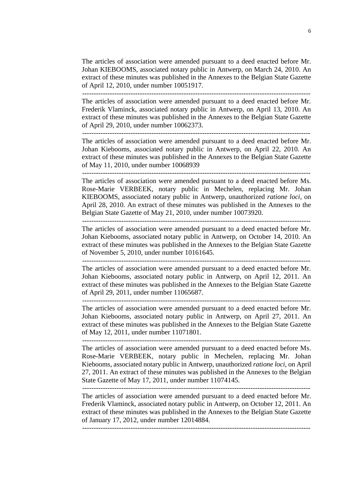The articles of association were amended pursuant to a deed enacted before Mr. Johan KIEBOOMS, associated notary public in Antwerp, on March 24, 2010. An extract of these minutes was published in the Annexes to the Belgian State Gazette of April 12, 2010, under number 10051917.

The articles of association were amended pursuant to a deed enacted before Mr. Frederik Vlaminck, associated notary public in Antwerp, on April 13, 2010. An extract of these minutes was published in the Annexes to the Belgian State Gazette of April 29, 2010, under number 10062373.

---------------------------------------------------------------------------------------------------

The articles of association were amended pursuant to a deed enacted before Mr. Johan Kiebooms, associated notary public in Antwerp, on April 22, 2010. An extract of these minutes was published in the Annexes to the Belgian State Gazette of May 11, 2010, under number 10068939

---------------------------------------------------------------------------------------------------

The articles of association were amended pursuant to a deed enacted before Ms. Rose-Marie VERBEEK, notary public in Mechelen, replacing Mr. Johan KIEBOOMS, associated notary public in Antwerp, unauthorized *ratione loci*, on April 28, 2010. An extract of these minutes was published in the Annexes to the Belgian State Gazette of May 21, 2010, under number 10073920.

The articles of association were amended pursuant to a deed enacted before Mr. Johan Kiebooms, associated notary public in Antwerp, on October 14, 2010. An extract of these minutes was published in the Annexes to the Belgian State Gazette of November 5, 2010, under number 10161645.

---------------------------------------------------------------------------------------------------

The articles of association were amended pursuant to a deed enacted before Mr. Johan Kiebooms, associated notary public in Antwerp, on April 12, 2011. An extract of these minutes was published in the Annexes to the Belgian State Gazette of April 29, 2011, under number 11065687.

---------------------------------------------------------------------------------------------------

The articles of association were amended pursuant to a deed enacted before Mr. Johan Kiebooms, associated notary public in Antwerp, on April 27, 2011. An extract of these minutes was published in the Annexes to the Belgian State Gazette of May 12, 2011, under number 11071801.

The articles of association were amended pursuant to a deed enacted before Ms. Rose-Marie VERBEEK, notary public in Mechelen, replacing Mr. Johan Kiebooms, associated notary public in Antwerp, unauthorized *ratione loci*, on April 27, 2011. An extract of these minutes was published in the Annexes to the Belgian State Gazette of May 17, 2011, under number 11074145.

---------------------------------------------------------------------------------------------------

The articles of association were amended pursuant to a deed enacted before Mr. Frederik Vlaminck, associated notary public in Antwerp, on October 12, 2011. An extract of these minutes was published in the Annexes to the Belgian State Gazette of January 17, 2012, under number 12014884.

---------------------------------------------------------------------------------------------------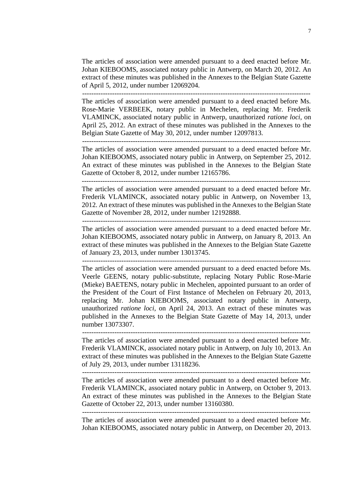The articles of association were amended pursuant to a deed enacted before Mr. Johan KIEBOOMS, associated notary public in Antwerp, on March 20, 2012. An extract of these minutes was published in the Annexes to the Belgian State Gazette of April 5, 2012, under number 12069204.

---------------------------------------------------------------------------------------------------

The articles of association were amended pursuant to a deed enacted before Ms. Rose-Marie VERBEEK, notary public in Mechelen, replacing Mr. Frederik VLAMINCK, associated notary public in Antwerp, unauthorized *ratione loci*, on April 25, 2012. An extract of these minutes was published in the Annexes to the Belgian State Gazette of May 30, 2012, under number 12097813.

---------------------------------------------------------------------------------------------------

The articles of association were amended pursuant to a deed enacted before Mr. Johan KIEBOOMS, associated notary public in Antwerp, on September 25, 2012. An extract of these minutes was published in the Annexes to the Belgian State Gazette of October 8, 2012, under number 12165786.

---------------------------------------------------------------------------------------------------

The articles of association were amended pursuant to a deed enacted before Mr. Frederik VLAMINCK, associated notary public in Antwerp, on November 13, 2012. An extract of these minutes was published in the Annexes to the Belgian State Gazette of November 28, 2012, under number 12192888. ---------------------------------------------------------------------------------------------------

The articles of association were amended pursuant to a deed enacted before Mr. Johan KIEBOOMS, associated notary public in Antwerp, on January 8, 2013. An extract of these minutes was published in the Annexes to the Belgian State Gazette of January 23, 2013, under number 13013745.

The articles of association were amended pursuant to a deed enacted before Ms. Veerle GEENS, notary public-substitute, replacing Notary Public Rose-Marie (Mieke) BAETENS, notary public in Mechelen, appointed pursuant to an order of the President of the Court of First Instance of Mechelen on February 20, 2013, replacing Mr. Johan KIEBOOMS, associated notary public in Antwerp, unauthorized *ratione loci*, on April 24, 2013. An extract of these minutes was published in the Annexes to the Belgian State Gazette of May 14, 2013, under number 13073307.

--------------------------------------------------------------------------------------------------- The articles of association were amended pursuant to a deed enacted before Mr. Frederik VLAMINCK, associated notary public in Antwerp, on July 10, 2013. An extract of these minutes was published in the Annexes to the Belgian State Gazette of July 29, 2013, under number 13118236.

---------------------------------------------------------------------------------------------------

The articles of association were amended pursuant to a deed enacted before Mr. Frederik VLAMINCK, associated notary public in Antwerp, on October 9, 2013. An extract of these minutes was published in the Annexes to the Belgian State Gazette of October 22, 2013, under number 13160380.

The articles of association were amended pursuant to a deed enacted before Mr. Johan KIEBOOMS, associated notary public in Antwerp, on December 20, 2013.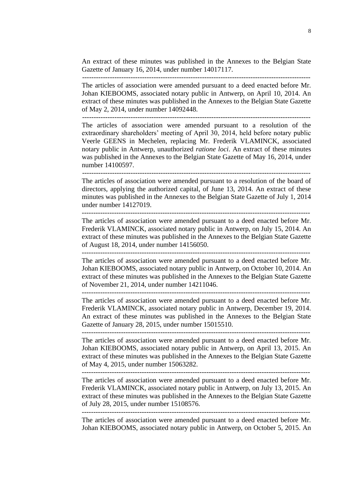An extract of these minutes was published in the Annexes to the Belgian State Gazette of January 16, 2014, under number 14017117.

The articles of association were amended pursuant to a deed enacted before Mr. Johan KIEBOOMS, associated notary public in Antwerp, on April 10, 2014. An extract of these minutes was published in the Annexes to the Belgian State Gazette of May 2, 2014, under number 14092448.

The articles of association were amended pursuant to a resolution of the extraordinary shareholders' meeting of April 30, 2014, held before notary public Veerle GEENS in Mechelen, replacing Mr. Frederik VLAMINCK, associated notary public in Antwerp, unauthorized *ratione loci*. An extract of these minutes was published in the Annexes to the Belgian State Gazette of May 16, 2014, under number 14100597.

---------------------------------------------------------------------------------------------------

The articles of association were amended pursuant to a resolution of the board of directors, applying the authorized capital, of June 13, 2014. An extract of these minutes was published in the Annexes to the Belgian State Gazette of July 1, 2014 under number 14127019.

--------------------------------------------------------------------------------------------------- The articles of association were amended pursuant to a deed enacted before Mr. Frederik VLAMINCK, associated notary public in Antwerp, on July 15, 2014. An extract of these minutes was published in the Annexes to the Belgian State Gazette of August 18, 2014, under number 14156050.

--------------------------------------------------------------------------------------------------- The articles of association were amended pursuant to a deed enacted before Mr. Johan KIEBOOMS, associated notary public in Antwerp, on October 10, 2014. An extract of these minutes was published in the Annexes to the Belgian State Gazette of November 21, 2014, under number 14211046.

--------------------------------------------------------------------------------------------------- The articles of association were amended pursuant to a deed enacted before Mr. Frederik VLAMINCK, associated notary public in Antwerp, December 19, 2014. An extract of these minutes was published in the Annexes to the Belgian State Gazette of January 28, 2015, under number 15015510.

--------------------------------------------------------------------------------------------------- The articles of association were amended pursuant to a deed enacted before Mr. Johan KIEBOOMS, associated notary public in Antwerp, on April 13, 2015. An extract of these minutes was published in the Annexes to the Belgian State Gazette of May 4, 2015, under number 15063282.

---------------------------------------------------------------------------------------------------

The articles of association were amended pursuant to a deed enacted before Mr. Frederik VLAMINCK, associated notary public in Antwerp, on July 13, 2015. An extract of these minutes was published in the Annexes to the Belgian State Gazette of July 28, 2015, under number 15108576.

---------------------------------------------------------------------------------------------------

The articles of association were amended pursuant to a deed enacted before Mr. Johan KIEBOOMS, associated notary public in Antwerp, on October 5, 2015. An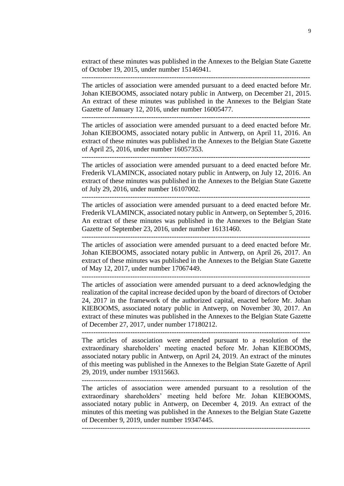extract of these minutes was published in the Annexes to the Belgian State Gazette of October 19, 2015, under number 15146941.

The articles of association were amended pursuant to a deed enacted before Mr. Johan KIEBOOMS, associated notary public in Antwerp, on December 21, 2015. An extract of these minutes was published in the Annexes to the Belgian State Gazette of January 12, 2016, under number 16005477.

The articles of association were amended pursuant to a deed enacted before Mr. Johan KIEBOOMS, associated notary public in Antwerp, on April 11, 2016. An extract of these minutes was published in the Annexes to the Belgian State Gazette of April 25, 2016, under number 16057353.

---------------------------------------------------------------------------------------------------

The articles of association were amended pursuant to a deed enacted before Mr. Frederik VLAMINCK, associated notary public in Antwerp, on July 12, 2016. An extract of these minutes was published in the Annexes to the Belgian State Gazette of July 29, 2016, under number 16107002.

---------------------------------------------------------------------------------------------------

The articles of association were amended pursuant to a deed enacted before Mr. Frederik VLAMINCK, associated notary public in Antwerp, on September 5, 2016. An extract of these minutes was published in the Annexes to the Belgian State Gazette of September 23, 2016, under number 16131460.

---------------------------------------------------------------------------------------------------

The articles of association were amended pursuant to a deed enacted before Mr. Johan KIEBOOMS, associated notary public in Antwerp, on April 26, 2017. An extract of these minutes was published in the Annexes to the Belgian State Gazette of May 12, 2017, under number 17067449.

---------------------------------------------------------------------------------------------------

The articles of association were amended pursuant to a deed acknowledging the realization of the capital increase decided upon by the board of directors of October 24, 2017 in the framework of the authorized capital, enacted before Mr. Johan KIEBOOMS, associated notary public in Antwerp, on November 30, 2017. An extract of these minutes was published in the Annexes to the Belgian State Gazette of December 27, 2017, under number 17180212.

---------------------------------------------------------------------------------------------------

The articles of association were amended pursuant to a resolution of the extraordinary shareholders' meeting enacted before Mr. Johan KIEBOOMS, associated notary public in Antwerp, on April 24, 2019. An extract of the minutes of this meeting was published in the Annexes to the Belgian State Gazette of April 29, 2019, under number 19315663.

---------------------------------------------------------------------------------------------------

The articles of association were amended pursuant to a resolution of the extraordinary shareholders' meeting held before Mr. Johan KIEBOOMS, associated notary public in Antwerp, on December 4, 2019. An extract of the minutes of this meeting was published in the Annexes to the Belgian State Gazette of December 9, 2019, under number 19347445.

---------------------------------------------------------------------------------------------------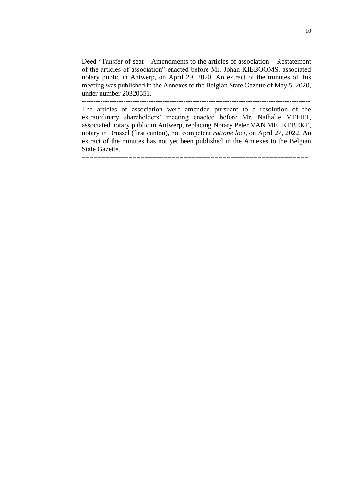Deed "Tansfer of seat – Amendments to the articles of association – Restatement of the articles of association" enacted before Mr. Johan KIEBOOMS, associated notary public in Antwerp, on April 29, 2020. An extract of the minutes of this meeting was published in the Annexes to the Belgian State Gazette of May 5, 2020, under number 20320551.

---------------------------------------------------------------------------------------------------

The articles of association were amended pursuant to a resolution of the extraordinary shareholders' meeting enacted before Mr. Nathalie MEERT, associated notary public in Antwerp, replacing Notary Peter VAN MELKEBEKE, notary in Brussel (first canton), not competent *ratione loci*, on April 27, 2022. An extract of the minutes has not yet been published in the Annexes to the Belgian State Gazette.

==========================================================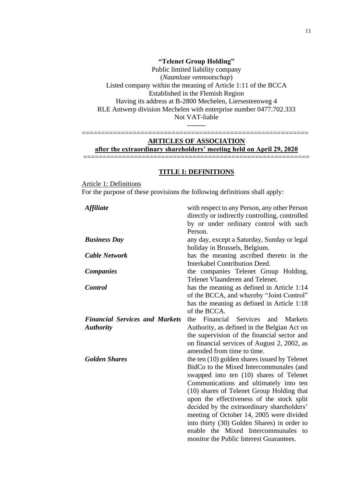## **"Telenet Group Holding"**

Public limited liability company (*Naamloze vennootschap*) Listed company within the meaning of Article 1:11 of the BCCA Established in the Flemish Region Having its address at B-2800 Mechelen, Liersesteenweg 4 RLE Antwerp division Mechelen with enterprise number 0477.702.333 Not VAT-liable --------

### ========================================================== **ARTICLES OF ASSOCIATION after the extraordinary shareholders' meeting held on April 29, 2020**

==========================================================

#### **TITLE I: DEFINITIONS**

Article 1: Definitions For the purpose of these provisions the following definitions shall apply:

| <b>Affiliate</b>                      | with respect to any Person, any other Person<br>directly or indirectly controlling, controlled |
|---------------------------------------|------------------------------------------------------------------------------------------------|
|                                       | by or under ordinary control with such                                                         |
|                                       | Person.                                                                                        |
| <b>Business Day</b>                   | any day, except a Saturday, Sunday or legal                                                    |
|                                       | holiday in Brussels, Belgium.                                                                  |
| <b>Cable Network</b>                  | has the meaning ascribed thereto in the                                                        |
|                                       | Interkabel Contribution Deed.                                                                  |
| <b>Companies</b>                      | the companies Telenet Group Holding,                                                           |
|                                       | Telenet Vlaanderen and Telenet.                                                                |
| <b>Control</b>                        | has the meaning as defined in Article 1:14                                                     |
|                                       | of the BCCA, and whereby "Joint Control"                                                       |
|                                       | has the meaning as defined in Article 1:18                                                     |
|                                       | of the BCCA.                                                                                   |
| <b>Financial Services and Markets</b> | Financial Services<br><b>Markets</b><br>the<br>and                                             |
| <b>Authority</b>                      | Authority, as defined in the Belgian Act on                                                    |
|                                       | the supervision of the financial sector and                                                    |
|                                       | on financial services of August 2, 2002, as                                                    |
|                                       | amended from time to time.                                                                     |
| <b>Golden Shares</b>                  | the ten (10) golden shares issued by Telenet                                                   |
|                                       | BidCo to the Mixed Intercommunales (and                                                        |
|                                       | swapped into ten (10) shares of Telenet                                                        |
|                                       | Communications and ultimately into ten                                                         |
|                                       | (10) shares of Telenet Group Holding that                                                      |
|                                       | upon the effectiveness of the stock split                                                      |
|                                       | decided by the extraordinary shareholders'                                                     |
|                                       | meeting of October 14, 2005 were divided                                                       |
|                                       | into thirty (30) Golden Shares) in order to                                                    |
|                                       | enable the Mixed Intercommunales<br>to                                                         |
|                                       | monitor the Public Interest Guarantees.                                                        |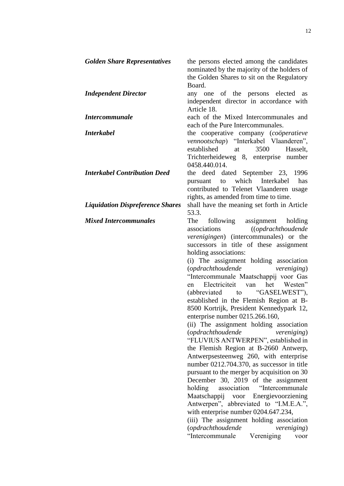| <b>Golden Share Representatives</b>     | the persons elected among the candidates<br>nominated by the majority of the holders of<br>the Golden Shares to sit on the Regulatory<br>Board.                                                                                                                                                                                                                                                                                                                                                                                                                                                                                                                                                                                                                                                                                                                                                                                                                                                                                                                                                                                                                                                            |
|-----------------------------------------|------------------------------------------------------------------------------------------------------------------------------------------------------------------------------------------------------------------------------------------------------------------------------------------------------------------------------------------------------------------------------------------------------------------------------------------------------------------------------------------------------------------------------------------------------------------------------------------------------------------------------------------------------------------------------------------------------------------------------------------------------------------------------------------------------------------------------------------------------------------------------------------------------------------------------------------------------------------------------------------------------------------------------------------------------------------------------------------------------------------------------------------------------------------------------------------------------------|
| <b>Independent Director</b>             | any one of the persons elected<br>as<br>independent director in accordance with<br>Article 18.                                                                                                                                                                                                                                                                                                                                                                                                                                                                                                                                                                                                                                                                                                                                                                                                                                                                                                                                                                                                                                                                                                             |
| <b>Intercommunale</b>                   | each of the Mixed Intercommunales and<br>each of the Pure Intercommunales.                                                                                                                                                                                                                                                                                                                                                                                                                                                                                                                                                                                                                                                                                                                                                                                                                                                                                                                                                                                                                                                                                                                                 |
| <b>Interkabel</b>                       | the cooperative company (cooperatieve<br>vennootschap) "Interkabel Vlaanderen",<br>established<br>3500<br>Hasselt,<br>at<br>Trichterheideweg 8, enterprise number<br>0458.440.014.                                                                                                                                                                                                                                                                                                                                                                                                                                                                                                                                                                                                                                                                                                                                                                                                                                                                                                                                                                                                                         |
| <b>Interkabel Contribution Deed</b>     | the deed dated September 23, 1996<br>which Interkabel<br>to<br>has<br>pursuant<br>contributed to Telenet Vlaanderen usage<br>rights, as amended from time to time.                                                                                                                                                                                                                                                                                                                                                                                                                                                                                                                                                                                                                                                                                                                                                                                                                                                                                                                                                                                                                                         |
| <b>Liquidation Dispreference Shares</b> | shall have the meaning set forth in Article<br>53.3.                                                                                                                                                                                                                                                                                                                                                                                                                                                                                                                                                                                                                                                                                                                                                                                                                                                                                                                                                                                                                                                                                                                                                       |
| <b>Mixed Intercommunales</b>            | The<br>following assignment<br>holding<br>associations<br>((opdrachthoudende<br><i>verenigingen</i> ) (intercommunales) or the<br>successors in title of these assignment<br>holding associations:<br>(i) The assignment holding association<br>(opdrachthoudende<br><i>vereniging</i> )<br>"Intercommunale Maatschappij voor Gas<br>het<br>Electriciteit<br>van<br>Westen"<br>en<br>(abbreviated to "GASELWEST"),<br>established in the Flemish Region at B-<br>8500 Kortrijk, President Kennedypark 12,<br>enterprise number 0215.266.160,<br>(ii) The assignment holding association<br>(opdrachthoudende<br><i>vereniging</i> )<br>"FLUVIUS ANTWERPEN", established in<br>the Flemish Region at B-2660 Antwerp,<br>Antwerpsesteenweg 260, with enterprise<br>number 0212.704.370, as successor in title<br>pursuant to the merger by acquisition on 30<br>December 30, 2019 of the assignment<br>holding<br>association<br>"Intercommunale"<br>Maatschappij voor Energievoorziening<br>Antwerpen", abbreviated to "I.M.E.A.",<br>with enterprise number 0204.647.234,<br>(iii) The assignment holding association<br>(opdrachthoudende<br><i>vereniging</i> )<br>"Intercommunale<br>Vereniging<br>voor |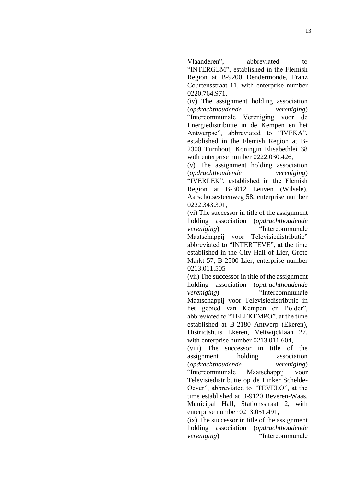Vlaanderen", abbreviated to "INTERGEM", established in the Flemish Region at B-9200 Dendermonde, Franz Courtensstraat 11, with enterprise number 0220.764.971.

(iv) The assignment holding association (*opdrachthoudende vereniging*) "Intercommunale Vereniging voor de Energiedistributie in de Kempen en het Antwerpse", abbreviated to "IVEKA", established in the Flemish Region at B-2300 Turnhout, Koningin Elisabethlei 38 with enterprise number 0222.030.426,

(v) The assignment holding association (*opdrachthoudende vereniging*) "IVERLEK", established in the Flemish Region at B-3012 Leuven (Wilsele), Aarschotsesteenweg 58, enterprise number 0222.343.301,

(vi) The successor in title of the assignment holding association (*opdrachthoudende vereniging*) "Intercommunale Maatschappij voor Televisiedistributie" abbreviated to "INTERTEVE", at the time established in the City Hall of Lier, Grote Markt 57, B-2500 Lier, enterprise number 0213.011.505

(vii) The successor in title of the assignment holding association (*opdrachthoudende vereniging*) "Intercommunale Maatschappij voor Televisiedistributie in het gebied van Kempen en Polder", abbreviated to "TELEKEMPO", at the time established at B-2180 Antwerp (Ekeren), Districtshuis Ekeren, Veltwijcklaan 27, with enterprise number 0213.011.604,

(viii) The successor in title of the assignment holding association (*opdrachthoudende vereniging*) "Intercommunale Maatschappij voor Televisiedistributie op de Linker Schelde-Oever", abbreviated to "TEVELO", at the time established at B-9120 Beveren-Waas, Municipal Hall, Stationsstraat 2, with enterprise number 0213.051.491,

(ix) The successor in title of the assignment holding association (*opdrachthoudende vereniging*) "Intercommunale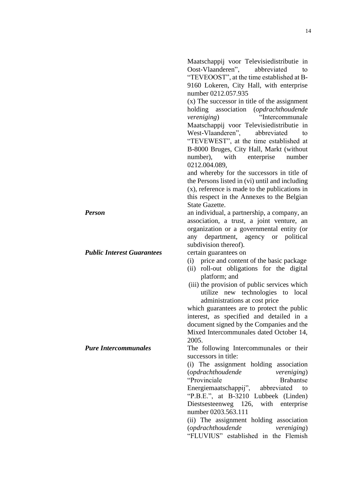Maatschappij voor Televisiedistributie in Oost-Vlaanderen", abbreviated to "TEVEOOST", at the time established at B-9160 Lokeren, City Hall, with enterprise number 0212.057.935

(x) The successor in title of the assignment holding association (*opdrachthoudende vereniging*) "Intercommunale Maatschappij voor Televisiedistributie in West-Vlaanderen", abbreviated to "TEVEWEST", at the time established at B-8000 Bruges, City Hall, Markt (without number), with enterprise number 0212.004.089,

and whereby for the successors in title of the Persons listed in (vi) until and including (x), reference is made to the publications in this respect in the Annexes to the Belgian State Gazette.

*Person* an individual, a partnership, a company, an association, a trust, a joint venture, an organization or a governmental entity (or any department, agency or political subdivision thereof).

- (i) price and content of the basic package
- (ii) roll-out obligations for the digital platform; and
- (iii) the provision of public services which utilize new technologies to local administrations at cost price

which guarantees are to protect the public interest, as specified and detailed in a document signed by the Companies and the Mixed Intercommunales dated October 14, 2005.

*Pure Intercommunales* The following Intercommunales or their successors in title:

> (i) The assignment holding association (*opdrachthoudende vereniging*) "Provinciale Brabantse Energiemaatschappij", abbreviated to "P.B.E.", at B-3210 Lubbeek (Linden) Diestsesteenweg 126, with enterprise number 0203.563.111 (ii) The assignment holding association

> (*opdrachthoudende vereniging*) "FLUVIUS" established in the Flemish

*Public Interest Guarantees* certain guarantees on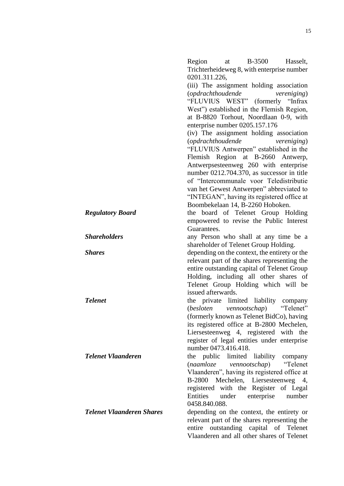0201.311.226, (iii) The assignment holding association (*opdrachthoudende vereniging*) "FLUVIUS WEST" (formerly "Infrax West") established in the Flemish Region, at B-8820 Torhout, Noordlaan 0-9, with enterprise number 0205.157.176 (iv) The assignment holding association (*opdrachthoudende vereniging*) "FLUVIUS Antwerpen" established in the Flemish Region at B-2660 Antwerp, Antwerpsesteenweg 260 with enterprise number 0212.704.370, as successor in title of "Intercommunale voor Teledistributie van het Gewest Antwerpen" abbreviated to "INTEGAN", having its registered office at Boombekelaan 14, B-2260 Hoboken. *Regulatory Board* the board of Telenet Group Holding empowered to revise the Public Interest Guarantees. **Shareholders** any Person who shall at any time be a shareholder of Telenet Group Holding. *Shares* depending on the context, the entirety or the relevant part of the shares representing the entire outstanding capital of Telenet Group Holding, including all other shares of Telenet Group Holding which will be issued afterwards. *Telenet* the private limited liability company (*besloten vennootschap*) "Telenet" (formerly known as Telenet BidCo), having its registered office at B-2800 Mechelen, Liersesteenweg 4, registered with the register of legal entities under enterprise number 0473.416.418. *Telenet Vlaanderen* the public limited liability company (*naamloze vennootschap*) "Telenet Vlaanderen", having its registered office at B-2800 Mechelen, Liersesteenweg 4, registered with the Register of Legal Entities under enterprise number 0458.840.088. *Telenet Vlaanderen Shares* depending on the context, the entirety or relevant part of the shares representing the entire outstanding capital of Telenet Vlaanderen and all other shares of Telenet

Region at B-3500 Hasselt, Trichterheideweg 8, with enterprise number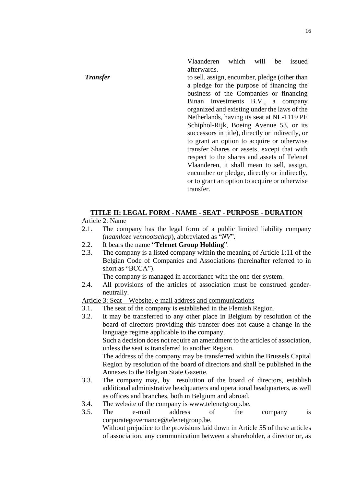Vlaanderen which will be issued afterwards.

*Transfer* to sell, assign, encumber, pledge (other than a pledge for the purpose of financing the business of the Companies or financing Binan Investments B.V., a company organized and existing under the laws of the Netherlands, having its seat at NL-1119 PE Schiphol-Rijk, Boeing Avenue 53, or its successors in title), directly or indirectly, or to grant an option to acquire or otherwise transfer Shares or assets, except that with respect to the shares and assets of Telenet Vlaanderen, it shall mean to sell, assign, encumber or pledge, directly or indirectly, or to grant an option to acquire or otherwise transfer.

## **TITLE II: LEGAL FORM - NAME - SEAT - PURPOSE - DURATION**

#### Article 2: Name

- 2.1. The company has the legal form of a public limited liability company (*naamloze vennootschap*), abbreviated as "*NV*".
- 2.2. It bears the name "**Telenet Group Holding**".
- 2.3. The company is a listed company within the meaning of Article 1:11 of the Belgian Code of Companies and Associations (hereinafter referred to in short as "BCCA").

The company is managed in accordance with the one-tier system.

2.4. All provisions of the articles of association must be construed genderneutrally.

### Article 3: Seat – Website, e-mail address and communications

- 3.1. The seat of the company is established in the Flemish Region.
- 3.2. It may be transferred to any other place in Belgium by resolution of the board of directors providing this transfer does not cause a change in the language regime applicable to the company.

Such a decision does not require an amendment to the articles of association, unless the seat is transferred to another Region.

The address of the company may be transferred within the Brussels Capital Region by resolution of the board of directors and shall be published in the Annexes to the Belgian State Gazette.

- 3.3. The company may, by resolution of the board of directors, establish additional administrative headquarters and operational headquarters, as well as offices and branches, both in Belgium and abroad.
- 3.4. The website of the company is [www.telenetgroup.be.](http://www.telenetgroup.be/)
- 3.5. The e-mail address of the company is corporategovernance@telenetgroup.be.

Without prejudice to the provisions laid down in Article 55 of these articles of association, any communication between a shareholder, a director or, as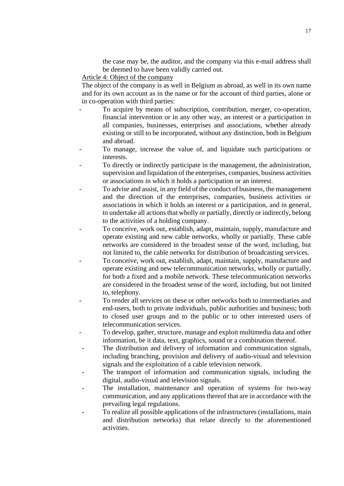the case may be, the auditor, and the company via this e-mail address shall be deemed to have been validly carried out.

#### Article 4: Object of the company

The object of the company is as well in Belgium as abroad, as well in its own name and for its own account as in the name or for the account of third parties, alone or in co-operation with third parties:

- To acquire by means of subscription, contribution, merger, co-operation, financial intervention or in any other way, an interest or a participation in all companies, businesses, enterprises and associations, whether already existing or still to be incorporated, without any distinction, both in Belgium and abroad.
- To manage, increase the value of, and liquidate such participations or interests.
- To directly or indirectly participate in the management, the administration, supervision and liquidation of the enterprises, companies, business activities or associations in which it holds a participation or an interest.
- To advise and assist, in any field of the conduct of business, the management and the direction of the enterprises, companies, business activities or associations in which it holds an interest or a participation, and in general, to undertake all actions that wholly or partially, directly or indirectly, belong to the activities of a holding company.
- To conceive, work out, establish, adapt, maintain, supply, manufacture and operate existing and new cable networks, wholly or partially. These cable networks are considered in the broadest sense of the word, including, but not limited to, the cable networks for distribution of broadcasting services.
- To conceive, work out, establish, adapt, maintain, supply, manufacture and operate existing and new telecommunication networks, wholly or partially, for both a fixed and a mobile network. These telecommunication networks are considered in the broadest sense of the word, including, but not limited to, telephony.
- To render all services on these or other networks both to intermediaries and end-users, both to private individuals, public authorities and business; both to closed user groups and to the public or to other interested users of telecommunication services.
- To develop, gather, structure, manage and exploit multimedia data and other information, be it data, text, graphics, sound or a combination thereof.
- The distribution and delivery of information and communication signals, including branching, provision and delivery of audio-visual and television signals and the exploitation of a cable television network.
- The transport of information and communication signals, including the digital, audio-visual and television signals.
- The installation, maintenance and operation of systems for two-way communication, and any applications thereof that are in accordance with the prevailing legal regulations.
- To realize all possible applications of the infrastructures (installations, main and distribution networks) that relate directly to the aforementioned activities.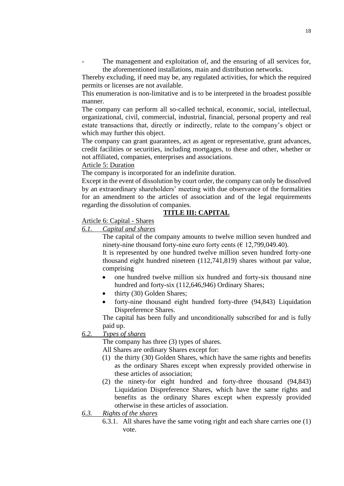The management and exploitation of, and the ensuring of all services for, the aforementioned installations, main and distribution networks.

Thereby excluding, if need may be, any regulated activities, for which the required permits or licenses are not available.

This enumeration is non-limitative and is to be interpreted in the broadest possible manner.

The company can perform all so-called technical, economic, social, intellectual, organizational, civil, commercial, industrial, financial, personal property and real estate transactions that, directly or indirectly, relate to the company's object or which may further this object.

The company can grant guarantees, act as agent or representative, grant advances, credit facilities or securities, including mortgages, to these and other, whether or not affiliated, companies, enterprises and associations.

### Article 5: Duration

The company is incorporated for an indefinite duration.

Except in the event of dissolution by court order, the company can only be dissolved by an extraordinary shareholders' meeting with due observance of the formalities for an amendment to the articles of association and of the legal requirements regarding the dissolution of companies.

# **TITLE III: CAPITAL**

Article 6: Capital - Shares

#### *6.1. Capital and shares*

The capital of the company amounts to twelve million seven hundred and ninety-nine thousand forty-nine euro forty cents ( $\epsilon$  12,799,049.40).

It is represented by one hundred twelve million seven hundred forty-one thousand eight hundred nineteen (112,741,819) shares without par value, comprising

- one hundred twelve million six hundred and forty-six thousand nine hundred and forty-six (112,646,946) Ordinary Shares;
- thirty (30) Golden Shares;
- forty-nine thousand eight hundred forty-three (94,843) Liquidation Dispreference Shares.

The capital has been fully and unconditionally subscribed for and is fully paid up.

## *6.2. Types of shares*

The company has three (3) types of shares.

All Shares are ordinary Shares except for:

- (1) the thirty (30) Golden Shares, which have the same rights and benefits as the ordinary Shares except when expressly provided otherwise in these articles of association;
- (2) the ninety-for eight hundred and forty-three thousand (94,843) Liquidation Dispreference Shares, which have the same rights and benefits as the ordinary Shares except when expressly provided otherwise in these articles of association.
- *6.3. Rights of the shares* 
	- 6.3.1. All shares have the same voting right and each share carries one (1) vote.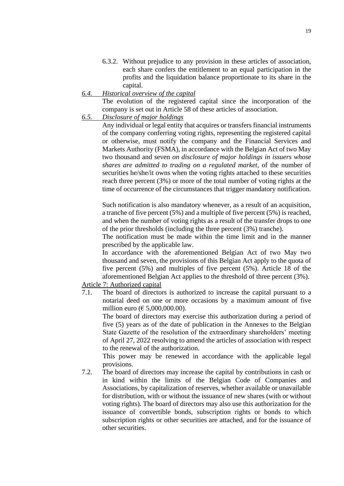- 6.3.2. Without prejudice to any provision in these articles of association, each share confers the entitlement to an equal participation in the profits and the liquidation balance proportionate to its share in the capital.
- *6.4. Historical overview of the capital*

The evolution of the registered capital since the incorporation of the company is set out in Article 58 of these articles of association.

*6.5. Disclosure of major holdings*

Any individual or legal entity that acquires or transfers financial instruments of the company conferring voting rights, representing the registered capital or otherwise, must notify the company and the Financial Services and Markets Authority (FSMA), in accordance with the Belgian Act of two May two thousand and seven *on disclosure of major holdings in issuers whose shares are admitted to trading on a regulated market*, of the number of securities he/she/it owns when the voting rights attached to these securities reach three percent (3%) or more of the total number of voting rights at the time of occurrence of the circumstances that trigger mandatory notification.

Such notification is also mandatory whenever, as a result of an acquisition, a tranche of five percent (5%) and a multiple of five percent (5%) is reached, and when the number of voting rights as a result of the transfer drops to one of the prior thresholds (including the three percent (3%) tranche).

The notification must be made within the time limit and in the manner prescribed by the applicable law.

In accordance with the aforementioned Belgian Act of two May two thousand and seven, the provisions of this Belgian Act apply to the quota of five percent (5%) and multiples of five percent (5%). Article 18 of the aforementioned Belgian Act applies to the threshold of three percent (3%).

Article 7: Authorized capital

7.1. The board of directors is authorized to increase the capital pursuant to a notarial deed on one or more occasions by a maximum amount of five million euro ( $\in$  5,000,000.00).

The board of directors may exercise this authorization during a period of five (5) years as of the date of publication in the Annexes to the Belgian State Gazette of the resolution of the extraordinary shareholders' meeting of April 27, 2022 resolving to amend the articles of association with respect to the renewal of the authorization.

This power may be renewed in accordance with the applicable legal provisions.

7.2. The board of directors may increase the capital by contributions in cash or in kind within the limits of the Belgian Code of Companies and Associations, by capitalization of reserves, whether available or unavailable for distribution, with or without the issuance of new shares (with or without voting rights). The board of directors may also use this authorization for the issuance of convertible bonds, subscription rights or bonds to which subscription rights or other securities are attached, and for the issuance of other securities.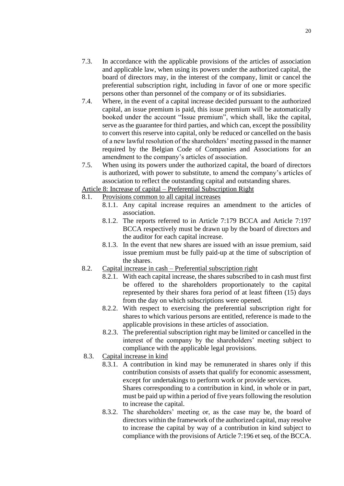- 7.3. In accordance with the applicable provisions of the articles of association and applicable law, when using its powers under the authorized capital, the board of directors may, in the interest of the company, limit or cancel the preferential subscription right, including in favor of one or more specific persons other than personnel of the company or of its subsidiaries.
- 7.4. Where, in the event of a capital increase decided pursuant to the authorized capital, an issue premium is paid, this issue premium will be automatically booked under the account "Issue premium", which shall, like the capital, serve as the guarantee for third parties, and which can, except the possibility to convert this reserve into capital, only be reduced or cancelled on the basis of a new lawful resolution of the shareholders' meeting passed in the manner required by the Belgian Code of Companies and Associations for an amendment to the company's articles of association.
- 7.5. When using its powers under the authorized capital, the board of directors is authorized, with power to substitute, to amend the company's articles of association to reflect the outstanding capital and outstanding shares.

Article 8: Increase of capital – Preferential Subscription Right

- 8.1. Provisions common to all capital increases
	- 8.1.1. Any capital increase requires an amendment to the articles of association.
	- 8.1.2. The reports referred to in Article 7:179 BCCA and Article 7:197 BCCA respectively must be drawn up by the board of directors and the auditor for each capital increase.
	- 8.1.3. In the event that new shares are issued with an issue premium, said issue premium must be fully paid-up at the time of subscription of the shares.
- 8.2. Capital increase in cash Preferential subscription right
	- 8.2.1. With each capital increase, the shares subscribed to in cash must first be offered to the shareholders proportionately to the capital represented by their shares fora period of at least fifteen (15) days from the day on which subscriptions were opened.
	- 8.2.2. With respect to exercising the preferential subscription right for shares to which various persons are entitled, reference is made to the applicable provisions in these articles of association.
	- 8.2.3. The preferential subscription right may be limited or cancelled in the interest of the company by the shareholders' meeting subject to compliance with the applicable legal provisions.
- 8.3. Capital increase in kind
	- 8.3.1. A contribution in kind may be remunerated in shares only if this contribution consists of assets that qualify for economic assessment, except for undertakings to perform work or provide services. Shares corresponding to a contribution in kind, in whole or in part, must be paid up within a period of five years following the resolution to increase the capital.
	- 8.3.2. The shareholders' meeting or, as the case may be, the board of directors within the framework of the authorized capital, may resolve to increase the capital by way of a contribution in kind subject to compliance with the provisions of Article 7:196 et seq. of the BCCA.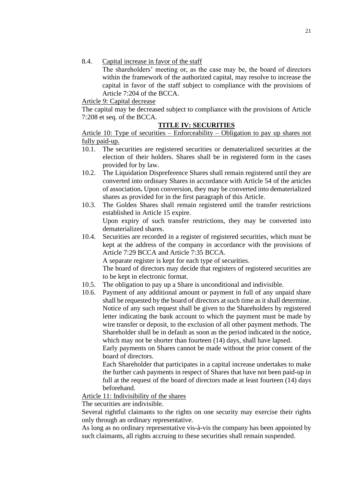8.4. Capital increase in favor of the staff

The shareholders' meeting or, as the case may be, the board of directors within the framework of the authorized capital, may resolve to increase the capital in favor of the staff subject to compliance with the provisions of Article 7:204 of the BCCA.

Article 9: Capital decrease

The capital may be decreased subject to compliance with the provisions of Article 7:208 et seq. of the BCCA.

### **TITLE IV: SECURITIES**

Article 10: Type of securities – Enforceability – Obligation to pay up shares not fully paid-up.

- 10.1. The securities are registered securities or dematerialized securities at the election of their holders. Shares shall be in registered form in the cases provided for by law.
- 10.2. The Liquidation Dispreference Shares shall remain registered until they are converted into ordinary Shares in accordance with Article 54 of the articles of association**.** Upon conversion, they may be converted into dematerialized shares as provided for in the first paragraph of this Article.
- 10.3. The Golden Shares shall remain registered until the transfer restrictions established in Article 15 expire. Upon expiry of such transfer restrictions, they may be converted into dematerialized shares.
- 10.4. Securities are recorded in a register of registered securities, which must be kept at the address of the company in accordance with the provisions of Article 7:29 BCCA and Article 7:35 BCCA.

A separate register is kept for each type of securities.

The board of directors may decide that registers of registered securities are to be kept in electronic format.

- 10.5. The obligation to pay up a Share is unconditional and indivisible.
- 10.6. Payment of any additional amount or payment in full of any unpaid share shall be requested by the board of directors at such time as it shall determine. Notice of any such request shall be given to the Shareholders by registered letter indicating the bank account to which the payment must be made by wire transfer or deposit, to the exclusion of all other payment methods. The Shareholder shall be in default as soon as the period indicated in the notice, which may not be shorter than fourteen (14) days, shall have lapsed.

Early payments on Shares cannot be made without the prior consent of the board of directors.

Each Shareholder that participates in a capital increase undertakes to make the further cash payments in respect of Shares that have not been paid-up in full at the request of the board of directors made at least fourteen (14) days beforehand.

Article 11: Indivisibility of the shares

The securities are indivisible.

Several rightful claimants to the rights on one security may exercise their rights only through an ordinary representative.

As long as no ordinary representative vis-à-vis the company has been appointed by such claimants, all rights accruing to these securities shall remain suspended.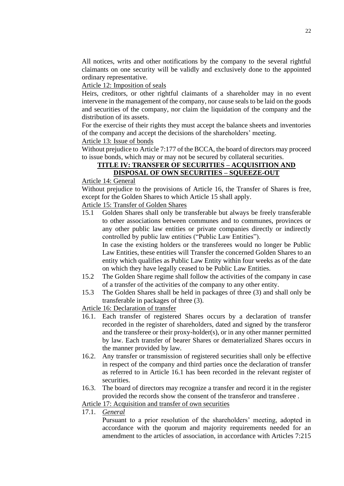All notices, writs and other notifications by the company to the several rightful claimants on one security will be validly and exclusively done to the appointed ordinary representative.

Article 12: Imposition of seals

Heirs, creditors, or other rightful claimants of a shareholder may in no event intervene in the management of the company, nor cause seals to be laid on the goods and securities of the company, nor claim the liquidation of the company and the distribution of its assets.

For the exercise of their rights they must accept the balance sheets and inventories of the company and accept the decisions of the shareholders' meeting.

Article 13: Issue of bonds

Without prejudice to Article 7:177 of the BCCA, the board of directors may proceed to issue bonds, which may or may not be secured by collateral securities.

# **TITLE IV: TRANSFER OF SECURITIES – ACQUISITION AND DISPOSAL OF OWN SECURITIES – SQUEEZE-OUT**

Article 14: General

Without prejudice to the provisions of Article 16, the Transfer of Shares is free, except for the Golden Shares to which Article 15 shall apply.

Article 15: Transfer of Golden Shares

15.1 Golden Shares shall only be transferable but always be freely transferable to other associations between communes and to communes, provinces or any other public law entities or private companies directly or indirectly controlled by public law entities ("Public Law Entities").

In case the existing holders or the transferees would no longer be Public Law Entities, these entities will Transfer the concerned Golden Shares to an entity which qualifies as Public Law Entity within four weeks as of the date on which they have legally ceased to be Public Law Entities.

- 15.2 The Golden Share regime shall follow the activities of the company in case of a transfer of the activities of the company to any other entity.
- 15.3 The Golden Shares shall be held in packages of three (3) and shall only be transferable in packages of three (3).

Article 16: Declaration of transfer

- 16.1. Each transfer of registered Shares occurs by a declaration of transfer recorded in the register of shareholders, dated and signed by the transferor and the transferee or their proxy-holder(s), or in any other manner permitted by law. Each transfer of bearer Shares or dematerialized Shares occurs in the manner provided by law.
- 16.2. Any transfer or transmission of registered securities shall only be effective in respect of the company and third parties once the declaration of transfer as referred to in Article 16.1 has been recorded in the relevant register of securities.
- 16.3. The board of directors may recognize a transfer and record it in the register provided the records show the consent of the transferor and transferee .

Article 17: Acquisition and transfer of own securities

17.1. *General*

Pursuant to a prior resolution of the shareholders' meeting, adopted in accordance with the quorum and majority requirements needed for an amendment to the articles of association, in accordance with Articles 7:215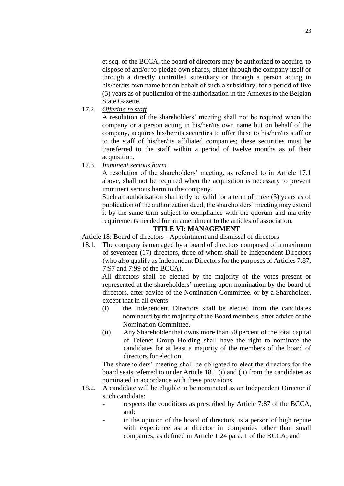et seq. of the BCCA, the board of directors may be authorized to acquire, to dispose of and/or to pledge own shares, either through the company itself or through a directly controlled subsidiary or through a person acting in his/her/its own name but on behalf of such a subsidiary, for a period of five (5) years as of publication of the authorization in the Annexes to the Belgian State Gazette.

17.2. *Offering to staff*

A resolution of the shareholders' meeting shall not be required when the company or a person acting in his/her/its own name but on behalf of the company, acquires his/her/its securities to offer these to his/her/its staff or to the staff of his/her/its affiliated companies; these securities must be transferred to the staff within a period of twelve months as of their acquisition.

17.3. *Imminent serious harm*

A resolution of the shareholders' meeting, as referred to in Article 17.1 above, shall not be required when the acquisition is necessary to prevent imminent serious harm to the company.

Such an authorization shall only be valid for a term of three (3) years as of publication of the authorization deed; the shareholders' meeting may extend it by the same term subject to compliance with the quorum and majority requirements needed for an amendment to the articles of association.

### **TITLE VI: MANAGEMENT**

Article 18: Board of directors - Appointment and dismissal of directors

18.1. The company is managed by a board of directors composed of a maximum of seventeen (17) directors, three of whom shall be Independent Directors (who also qualify as Independent Directors for the purposes of Articles 7:87, 7:97 and 7:99 of the BCCA).

All directors shall be elected by the majority of the votes present or represented at the shareholders' meeting upon nomination by the board of directors, after advice of the Nomination Committee, or by a Shareholder, except that in all events

- (i) the Independent Directors shall be elected from the candidates nominated by the majority of the Board members, after advice of the Nomination Committee.
- (ii) Any Shareholder that owns more than 50 percent of the total capital of Telenet Group Holding shall have the right to nominate the candidates for at least a majority of the members of the board of directors for election.

The shareholders' meeting shall be obligated to elect the directors for the board seats referred to under Article 18.1 (i) and (ii) from the candidates as nominated in accordance with these provisions.

- 18.2. A candidate will be eligible to be nominated as an Independent Director if such candidate:
	- respects the conditions as prescribed by Article 7:87 of the BCCA, and:
	- in the opinion of the board of directors, is a person of high repute with experience as a director in companies other than small companies, as defined in Article 1:24 para. 1 of the BCCA; and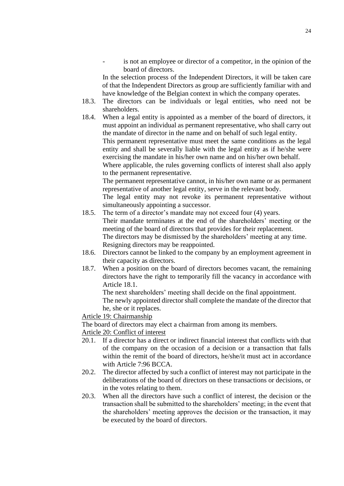is not an employee or director of a competitor, in the opinion of the board of directors.

In the selection process of the Independent Directors, it will be taken care of that the Independent Directors as group are sufficiently familiar with and have knowledge of the Belgian context in which the company operates.

- 18.3. The directors can be individuals or legal entities, who need not be shareholders.
- 18.4. When a legal entity is appointed as a member of the board of directors, it must appoint an individual as permanent representative, who shall carry out the mandate of director in the name and on behalf of such legal entity. This permanent representative must meet the same conditions as the legal entity and shall be severally liable with the legal entity as if he/she were exercising the mandate in his/her own name and on his/her own behalf. Where applicable, the rules governing conflicts of interest shall also apply

to the permanent representative. The permanent representative cannot, in his/her own name or as permanent

representative of another legal entity, serve in the relevant body. The legal entity may not revoke its permanent representative without simultaneously appointing a successor.

- 18.5. The term of a director's mandate may not exceed four (4) years. Their mandate terminates at the end of the shareholders' meeting or the meeting of the board of directors that provides for their replacement. The directors may be dismissed by the shareholders' meeting at any time. Resigning directors may be reappointed.
- 18.6. Directors cannot be linked to the company by an employment agreement in their capacity as directors.
- 18.7. When a position on the board of directors becomes vacant, the remaining directors have the right to temporarily fill the vacancy in accordance with Article 18.1.

The next shareholders' meeting shall decide on the final appointment. The newly appointed director shall complete the mandate of the director that he, she or it replaces.

Article 19: Chairmanship

The board of directors may elect a chairman from among its members.

Article 20: Conflict of interest

- 20.1. If a director has a direct or indirect financial interest that conflicts with that of the company on the occasion of a decision or a transaction that falls within the remit of the board of directors, he/she/it must act in accordance with Article 7:96 BCCA.
- 20.2. The director affected by such a conflict of interest may not participate in the deliberations of the board of directors on these transactions or decisions, or in the votes relating to them.
- 20.3. When all the directors have such a conflict of interest, the decision or the transaction shall be submitted to the shareholders' meeting; in the event that the shareholders' meeting approves the decision or the transaction, it may be executed by the board of directors.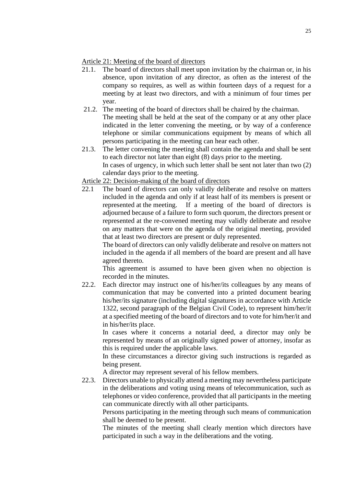### Article 21: Meeting of the board of directors

- 21.1. The board of directors shall meet upon invitation by the chairman or, in his absence, upon invitation of any director, as often as the interest of the company so requires, as well as within fourteen days of a request for a meeting by at least two directors, and with a minimum of four times per year.
- 21.2. The meeting of the board of directors shall be chaired by the chairman. The meeting shall be held at the seat of the company or at any other place indicated in the letter convening the meeting, or by way of a conference telephone or similar communications equipment by means of which all persons participating in the meeting can hear each other.
- 21.3. The letter convening the meeting shall contain the agenda and shall be sent to each director not later than eight (8) days prior to the meeting. In cases of urgency, in which such letter shall be sent not later than two (2) calendar days prior to the meeting.

## Article 22: Decision-making of the board of directors

22.1 The board of directors can only validly deliberate and resolve on matters included in the agenda and only if at least half of its members is present or represented at the meeting. If a meeting of the board of directors is adjourned because of a failure to form such quorum, the directors present or represented at the re-convened meeting may validly deliberate and resolve on any matters that were on the agenda of the original meeting, provided that at least two directors are present or duly represented.

The board of directors can only validly deliberate and resolve on matters not included in the agenda if all members of the board are present and all have agreed thereto.

This agreement is assumed to have been given when no objection is recorded in the minutes.

22.2. Each director may instruct one of his/her/its colleagues by any means of communication that may be converted into a printed document bearing his/her/its signature (including digital signatures in accordance with Article 1322, second paragraph of the Belgian Civil Code), to represent him/her/it at a specified meeting of the board of directors and to vote for him/her/it and in his/her/its place.

In cases where it concerns a notarial deed, a director may only be represented by means of an originally signed power of attorney, insofar as this is required under the applicable laws.

In these circumstances a director giving such instructions is regarded as being present.

A director may represent several of his fellow members.

22.3. Directors unable to physically attend a meeting may nevertheless participate in the deliberations and voting using means of telecommunication, such as telephones or video conference, provided that all participants in the meeting can communicate directly with all other participants.

Persons participating in the meeting through such means of communication shall be deemed to be present.

The minutes of the meeting shall clearly mention which directors have participated in such a way in the deliberations and the voting.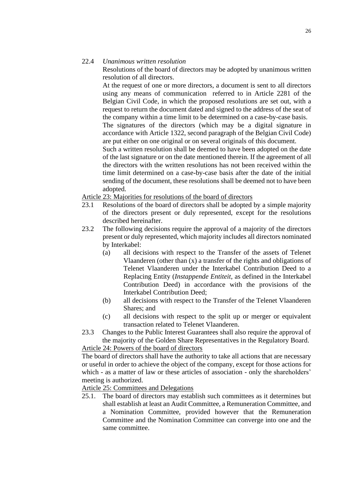### 22.4 *Unanimous written resolution*

Resolutions of the board of directors may be adopted by unanimous written resolution of all directors.

At the request of one or more directors, a document is sent to all directors using any means of communication referred to in Article 2281 of the Belgian Civil Code, in which the proposed resolutions are set out, with a request to return the document dated and signed to the address of the seat of the company within a time limit to be determined on a case-by-case basis.

The signatures of the directors (which may be a digital signature in accordance with Article 1322, second paragraph of the Belgian Civil Code) are put either on one original or on several originals of this document.

Such a written resolution shall be deemed to have been adopted on the date of the last signature or on the date mentioned therein. If the agreement of all the directors with the written resolutions has not been received within the time limit determined on a case-by-case basis after the date of the initial sending of the document, these resolutions shall be deemed not to have been adopted.

Article 23: Majorities for resolutions of the board of directors

- 23.1 Resolutions of the board of directors shall be adopted by a simple majority of the directors present or duly represented, except for the resolutions described hereinafter.
- 23.2 The following decisions require the approval of a majority of the directors present or duly represented, which majority includes all directors nominated by Interkabel:
	- (a) all decisions with respect to the Transfer of the assets of Telenet Vlaanderen (other than (x) a transfer of the rights and obligations of Telenet Vlaanderen under the Interkabel Contribution Deed to a Replacing Entity (*Instappende Entiteit*, as defined in the Interkabel Contribution Deed) in accordance with the provisions of the Interkabel Contribution Deed;
	- (b) all decisions with respect to the Transfer of the Telenet Vlaanderen Shares; and
	- (c) all decisions with respect to the split up or merger or equivalent transaction related to Telenet Vlaanderen.
- 23.3 Changes to the Public Interest Guarantees shall also require the approval of the majority of the Golden Share Representatives in the Regulatory Board.

Article 24: Powers of the board of directors

The board of directors shall have the authority to take all actions that are necessary or useful in order to achieve the object of the company, except for those actions for which - as a matter of law or these articles of association - only the shareholders' meeting is authorized.

Article 25: Committees and Delegations

25.1. The board of directors may establish such committees as it determines but shall establish at least an Audit Committee, a Remuneration Committee, and a Nomination Committee, provided however that the Remuneration Committee and the Nomination Committee can converge into one and the same committee.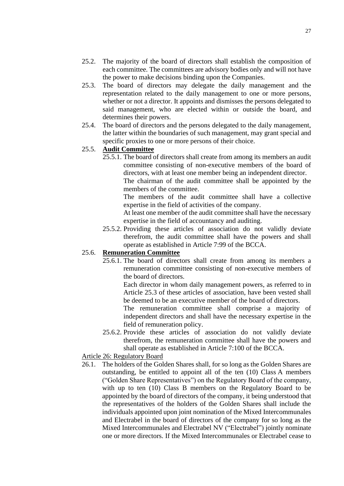- 25.2. The majority of the board of directors shall establish the composition of each committee. The committees are advisory bodies only and will not have the power to make decisions binding upon the Companies.
- 25.3. The board of directors may delegate the daily management and the representation related to the daily management to one or more persons, whether or not a director. It appoints and dismisses the persons delegated to said management, who are elected within or outside the board, and determines their powers.
- 25.4. The board of directors and the persons delegated to the daily management, the latter within the boundaries of such management, may grant special and specific proxies to one or more persons of their choice.

# 25.5. **Audit Committee**

25.5.1. The board of directors shall create from among its members an audit committee consisting of non-executive members of the board of directors, with at least one member being an independent director. The chairman of the audit committee shall be appointed by the

members of the committee.

The members of the audit committee shall have a collective expertise in the field of activities of the company.

At least one member of the audit committee shall have the necessary expertise in the field of accountancy and auditing.

25.5.2. Providing these articles of association do not validly deviate therefrom, the audit committee shall have the powers and shall operate as established in Article 7:99 of the BCCA.

# 25.6. **Remuneration Committee**

25.6.1. The board of directors shall create from among its members a remuneration committee consisting of non-executive members of the board of directors.

Each director in whom daily management powers, as referred to in Article 25.3 of these articles of association, have been vested shall be deemed to be an executive member of the board of directors.

The remuneration committee shall comprise a majority of independent directors and shall have the necessary expertise in the field of remuneration policy.

25.6.2. Provide these articles of association do not validly deviate therefrom, the remuneration committee shall have the powers and shall operate as established in Article 7:100 of the BCCA.

### Article 26: Regulatory Board

26.1. The holders of the Golden Shares shall, for so long as the Golden Shares are outstanding, be entitled to appoint all of the ten (10) Class A members ("Golden Share Representatives") on the Regulatory Board of the company, with up to ten (10) Class B members on the Regulatory Board to be appointed by the board of directors of the company, it being understood that the representatives of the holders of the Golden Shares shall include the individuals appointed upon joint nomination of the Mixed Intercommunales and Electrabel in the board of directors of the company for so long as the Mixed Intercommunales and Electrabel NV ("Electrabel") jointly nominate one or more directors. If the Mixed Intercommunales or Electrabel cease to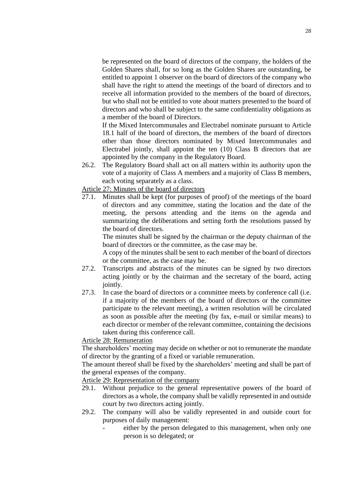be represented on the board of directors of the company, the holders of the Golden Shares shall, for so long as the Golden Shares are outstanding, be entitled to appoint 1 observer on the board of directors of the company who shall have the right to attend the meetings of the board of directors and to receive all information provided to the members of the board of directors, but who shall not be entitled to vote about matters presented to the board of directors and who shall be subject to the same confidentiality obligations as a member of the board of Directors.

If the Mixed Intercommunales and Electrabel nominate pursuant to Article 18.1 half of the board of directors, the members of the board of directors other than those directors nominated by Mixed Intercommunales and Electrabel jointly, shall appoint the ten (10) Class B directors that are appointed by the company in the Regulatory Board.

26.2. The Regulatory Board shall act on all matters within its authority upon the vote of a majority of Class A members and a majority of Class B members, each voting separately as a class.

Article 27: Minutes of the board of directors

27.1. Minutes shall be kept (for purposes of proof) of the meetings of the board of directors and any committee, stating the location and the date of the meeting, the persons attending and the items on the agenda and summarizing the deliberations and setting forth the resolutions passed by the board of directors.

The minutes shall be signed by the chairman or the deputy chairman of the board of directors or the committee, as the case may be.

A copy of the minutes shall be sent to each member of the board of directors or the committee, as the case may be.

- 27.2. Transcripts and abstracts of the minutes can be signed by two directors acting jointly or by the chairman and the secretary of the board, acting jointly.
- 27.3. In case the board of directors or a committee meets by conference call (i.e. if a majority of the members of the board of directors or the committee participate to the relevant meeting), a written resolution will be circulated as soon as possible after the meeting (by fax, e-mail or similar means) to each director or member of the relevant committee, containing the decisions taken during this conference call.

Article 28: Remuneration

The shareholders' meeting may decide on whether or not to remunerate the mandate of director by the granting of a fixed or variable remuneration.

The amount thereof shall be fixed by the shareholders' meeting and shall be part of the general expenses of the company.

Article 29: Representation of the company

- 29.1. Without prejudice to the general representative powers of the board of directors as a whole, the company shall be validly represented in and outside court by two directors acting jointly.
- 29.2. The company will also be validly represented in and outside court for purposes of daily management:
	- either by the person delegated to this management, when only one person is so delegated; or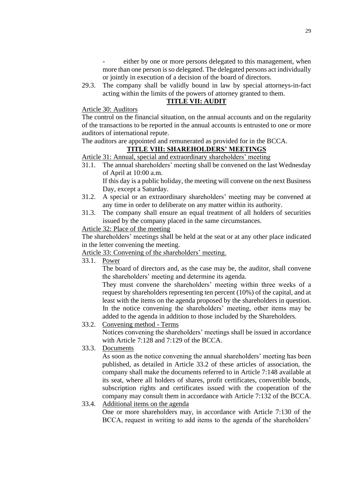- either by one or more persons delegated to this management, when more than one person is so delegated. The delegated persons act individually or jointly in execution of a decision of the board of directors.
- 29.3. The company shall be validly bound in law by special attorneys-in-fact acting within the limits of the powers of attorney granted to them.

# **TITLE VII: AUDIT**

## Article 30: Auditors

The control on the financial situation, on the annual accounts and on the regularity of the transactions to be reported in the annual accounts is entrusted to one or more auditors of international repute.

The auditors are appointed and remunerated as provided for in the BCCA.

# **TITLE VIII: SHAREHOLDERS' MEETINGS**

Article 31: Annual, special and extraordinary shareholders' meeting

31.1. The annual shareholders' meeting shall be convened on the last Wednesday of April at 10:00 a.m. If this day is a public holiday, the meeting will convene on the next Business

Day, except a Saturday.

- 31.2. A special or an extraordinary shareholders' meeting may be convened at any time in order to deliberate on any matter within its authority.
- 31.3. The company shall ensure an equal treatment of all holders of securities issued by the company placed in the same circumstances.

# Article 32: Place of the meeting

The shareholders' meetings shall be held at the seat or at any other place indicated in the letter convening the meeting.

Article 33: Convening of the shareholders' meeting.

33.1. Power

The board of directors and, as the case may be, the auditor, shall convene the shareholders' meeting and determine its agenda.

They must convene the shareholders' meeting within three weeks of a request by shareholders representing ten percent (10%) of the capital, and at least with the items on the agenda proposed by the shareholders in question. In the notice convening the shareholders' meeting, other items may be added to the agenda in addition to those included by the Shareholders.

- 33.2. Convening method Terms Notices convening the shareholders' meetings shall be issued in accordance with Article 7:128 and 7:129 of the BCCA.
- 33.3. Documents

As soon as the notice convening the annual shareholders' meeting has been published, as detailed in Article 33.2 of these articles of association, the company shall make the documents referred to in Article 7:148 available at its seat, where all holders of shares, profit certificates, convertible bonds, subscription rights and certificates issued with the cooperation of the company may consult them in accordance with Article 7:132 of the BCCA.

33.4. Additional items on the agenda One or more shareholders may, in accordance with Article 7:130 of the BCCA, request in writing to add items to the agenda of the shareholders'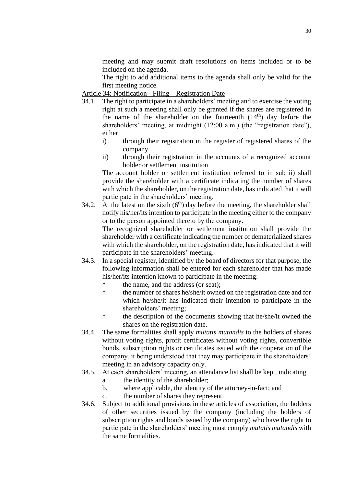meeting and may submit draft resolutions on items included or to be included on the agenda.

The right to add additional items to the agenda shall only be valid for the first meeting notice.

Article 34: Notification - Filing – Registration Date

- 34.1. The right to participate in a shareholders' meeting and to exercise the voting right at such a meeting shall only be granted if the shares are registered in the name of the shareholder on the fourteenth  $(14<sup>th</sup>)$  day before the shareholders' meeting, at midnight (12:00 a.m.) (the "registration date"), either
	- i) through their registration in the register of registered shares of the company
	- ii) through their registration in the accounts of a recognized account holder or settlement institution

The account holder or settlement institution referred to in sub ii) shall provide the shareholder with a certificate indicating the number of shares with which the shareholder, on the registration date, has indicated that it will participate in the shareholders' meeting.

34.2. At the latest on the sixth  $(6<sup>th</sup>)$  day before the meeting, the shareholder shall notify his/her/its intention to participate in the meeting either to the company or to the person appointed thereto by the company.

The recognized shareholder or settlement institution shall provide the shareholder with a certificate indicating the number of dematerialized shares with which the shareholder, on the registration date, has indicated that it will participate in the shareholders' meeting.

- 34.3. In a special register, identified by the board of directors for that purpose, the following information shall be entered for each shareholder that has made his/her/its intention known to participate in the meeting:
	- \* the name, and the address (or seat);
	- \* the number of shares he/she/it owned on the registration date and for which he/she/it has indicated their intention to participate in the shareholders' meeting;
	- \* the description of the documents showing that he/she/it owned the shares on the registration date.
- 34.4. The same formalities shall apply *mutatis mutandis* to the holders of shares without voting rights, profit certificates without voting rights, convertible bonds, subscription rights or certificates issued with the cooperation of the company, it being understood that they may participate in the shareholders' meeting in an advisory capacity only.
- 34.5. At each shareholders' meeting, an attendance list shall be kept, indicating
	- a. the identity of the shareholder;
	- b. where applicable, the identity of the attorney-in-fact; and
	- c. the number of shares they represent.
- 34.6. Subject to additional provisions in these articles of association, the holders of other securities issued by the company (including the holders of subscription rights and bonds issued by the company) who have the right to participate in the shareholders' meeting must comply *mutatis mutandis* with the same formalities.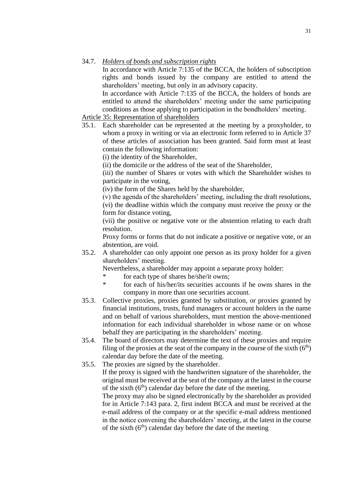### 34.7. *Holders of bonds and subscription rights*

In accordance with Article 7:135 of the BCCA, the holders of subscription rights and bonds issued by the company are entitled to attend the shareholders' meeting, but only in an advisory capacity.

In accordance with Article 7:135 of the BCCA, the holders of bonds are entitled to attend the shareholders' meeting under the same participating conditions as those applying to participation in the bondholders' meeting.

# Article 35: Representation of shareholders

35.1. Each shareholder can be represented at the meeting by a proxyholder, to whom a proxy in writing or via an electronic form referred to in Article 37 of these articles of association has been granted. Said form must at least contain the following information:

(i) the identity of the Shareholder,

(ii) the domicile or the address of the seat of the Shareholder,

(iii) the number of Shares or votes with which the Shareholder wishes to participate in the voting,

(iv) the form of the Shares held by the shareholder,

(v) the agenda of the shareholders' meeting, including the draft resolutions, (vi) the deadline within which the company must receive the proxy or the form for distance voting,

(vii) the positive or negative vote or the abstention relating to each draft resolution.

Proxy forms or forms that do not indicate a positive or negative vote, or an abstention, are void.

35.2. A shareholder can only appoint one person as its proxy holder for a given shareholders' meeting.

Nevertheless, a shareholder may appoint a separate proxy holder:

- for each type of shares he/she/it owns;
- for each of his/her/its securities accounts if he owns shares in the company in more than one securities account.
- 35.3. Collective proxies, proxies granted by substitution, or proxies granted by financial institutions, trusts, fund managers or account holders in the name and on behalf of various shareholders, must mention the above-mentioned information for each individual shareholder in whose name or on whose behalf they are participating in the shareholders' meeting.
- 35.4. The board of directors may determine the text of these proxies and require filing of the proxies at the seat of the company in the course of the sixth  $(6<sup>th</sup>)$ calendar day before the date of the meeting.
- 35.5. The proxies are signed by the shareholder.

If the proxy is signed with the handwritten signature of the shareholder, the original must be received at the seat of the company at the latest in the course of the sixth  $(6<sup>th</sup>)$  calendar day before the date of the meeting.

The proxy may also be signed electronically by the shareholder as provided for in Article 7:143 para. 2, first indent BCCA and must be received at the e-mail address of the company or at the specific e-mail address mentioned in the notice convening the shareholders' meeting, at the latest in the course of the sixth  $(6<sup>th</sup>)$  calendar day before the date of the meeting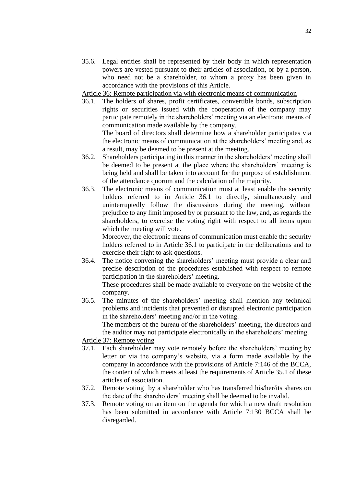35.6. Legal entities shall be represented by their body in which representation powers are vested pursuant to their articles of association, or by a person, who need not be a shareholder, to whom a proxy has been given in accordance with the provisions of this Article.

Article 36: Remote participation via with electronic means of communication

36.1. The holders of shares, profit certificates, convertible bonds, subscription rights or securities issued with the cooperation of the company may participate remotely in the shareholders' meeting via an electronic means of communication made available by the company.

The board of directors shall determine how a shareholder participates via the electronic means of communication at the shareholders' meeting and, as a result, may be deemed to be present at the meeting.

- 36.2. Shareholders participating in this manner in the shareholders' meeting shall be deemed to be present at the place where the shareholders' meeting is being held and shall be taken into account for the purpose of establishment of the attendance quorum and the calculation of the majority.
- 36.3. The electronic means of communication must at least enable the security holders referred to in Article 36.1 to directly, simultaneously and uninterruptedly follow the discussions during the meeting, without prejudice to any limit imposed by or pursuant to the law, and, as regards the shareholders, to exercise the voting right with respect to all items upon which the meeting will vote.

Moreover, the electronic means of communication must enable the security holders referred to in Article 36.1 to participate in the deliberations and to exercise their right to ask questions.

36.4. The notice convening the shareholders' meeting must provide a clear and precise description of the procedures established with respect to remote participation in the shareholders' meeting.

These procedures shall be made available to everyone on the website of the company.

36.5. The minutes of the shareholders' meeting shall mention any technical problems and incidents that prevented or disrupted electronic participation in the shareholders' meeting and/or in the voting.

The members of the bureau of the shareholders' meeting, the directors and the auditor may not participate electronically in the shareholders' meeting.

# Article 37: Remote voting

- 37.1. Each shareholder may vote remotely before the shareholders' meeting by letter or via the company's website, via a form made available by the company in accordance with the provisions of Article 7:146 of the BCCA, the content of which meets at least the requirements of Article 35.1 of these articles of association.
- 37.2. Remote voting by a shareholder who has transferred his/her/its shares on the date of the shareholders' meeting shall be deemed to be invalid.
- 37.3. Remote voting on an item on the agenda for which a new draft resolution has been submitted in accordance with Article 7:130 BCCA shall be disregarded.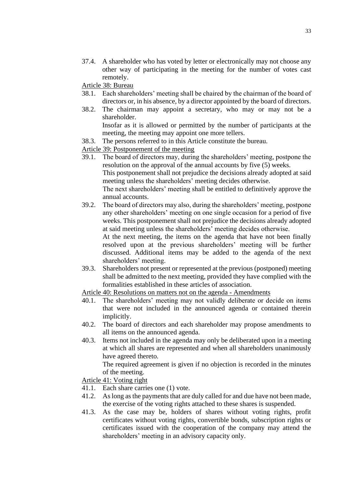37.4. A shareholder who has voted by letter or electronically may not choose any other way of participating in the meeting for the number of votes cast remotely.

Article 38: Bureau

- 38.1. Each shareholders' meeting shall be chaired by the chairman of the board of directors or, in his absence, by a director appointed by the board of directors.
- 38.2. The chairman may appoint a secretary, who may or may not be a shareholder.

Insofar as it is allowed or permitted by the number of participants at the meeting, the meeting may appoint one more tellers.

- 38.3. The persons referred to in this Article constitute the bureau.
- Article 39: Postponement of the meeting
- 39.1. The board of directors may, during the shareholders' meeting, postpone the resolution on the approval of the annual accounts by five (5) weeks. This postponement shall not prejudice the decisions already adopted at said meeting unless the shareholders' meeting decides otherwise. The next shareholders' meeting shall be entitled to definitively approve the annual accounts.
- 39.2. The board of directors may also, during the shareholders' meeting, postpone any other shareholders' meeting on one single occasion for a period of five weeks. This postponement shall not prejudice the decisions already adopted at said meeting unless the shareholders' meeting decides otherwise.

At the next meeting, the items on the agenda that have not been finally resolved upon at the previous shareholders' meeting will be further discussed. Additional items may be added to the agenda of the next shareholders' meeting.

39.3. Shareholders not present or represented at the previous (postponed) meeting shall be admitted to the next meeting, provided they have complied with the formalities established in these articles of association.

Article 40: Resolutions on matters not on the agenda - Amendments

- 40.1. The shareholders' meeting may not validly deliberate or decide on items that were not included in the announced agenda or contained therein implicitly.
- 40.2. The board of directors and each shareholder may propose amendments to all items on the announced agenda.
- 40.3. Items not included in the agenda may only be deliberated upon in a meeting at which all shares are represented and when all shareholders unanimously have agreed thereto.

The required agreement is given if no objection is recorded in the minutes of the meeting.

Article 41: Voting right

- 41.1. Each share carries one (1) vote.
- 41.2. As long as the payments that are duly called for and due have not been made, the exercise of the voting rights attached to these shares is suspended.
- 41.3. As the case may be, holders of shares without voting rights, profit certificates without voting rights, convertible bonds, subscription rights or certificates issued with the cooperation of the company may attend the shareholders' meeting in an advisory capacity only.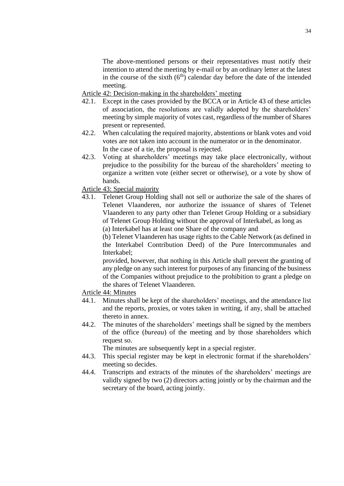The above-mentioned persons or their representatives must notify their intention to attend the meeting by e-mail or by an ordinary letter at the latest in the course of the sixth  $(6<sup>th</sup>)$  calendar day before the date of the intended meeting.

Article 42: Decision-making in the shareholders' meeting

- 42.1. Except in the cases provided by the BCCA or in Article 43 of these articles of association, the resolutions are validly adopted by the shareholders' meeting by simple majority of votes cast, regardless of the number of Shares present or represented.
- 42.2. When calculating the required majority, abstentions or blank votes and void votes are not taken into account in the numerator or in the denominator. In the case of a tie, the proposal is rejected.
- 42.3. Voting at shareholders' meetings may take place electronically, without prejudice to the possibility for the bureau of the shareholders' meeting to organize a written vote (either secret or otherwise), or a vote by show of hands.

Article 43: Special majority

43.1. Telenet Group Holding shall not sell or authorize the sale of the shares of Telenet Vlaanderen, nor authorize the issuance of shares of Telenet Vlaanderen to any party other than Telenet Group Holding or a subsidiary of Telenet Group Holding without the approval of Interkabel, as long as

(a) Interkabel has at least one Share of the company and

(b) Telenet Vlaanderen has usage rights to the Cable Network (as defined in the Interkabel Contribution Deed) of the Pure Intercommunales and Interkabel;

provided, however, that nothing in this Article shall prevent the granting of any pledge on any such interest for purposes of any financing of the business of the Companies without prejudice to the prohibition to grant a pledge on the shares of Telenet Vlaanderen.

Article 44: Minutes

- 44.1. Minutes shall be kept of the shareholders' meetings, and the attendance list and the reports, proxies, or votes taken in writing, if any, shall be attached thereto in annex.
- 44.2. The minutes of the shareholders' meetings shall be signed by the members of the office (*bureau*) of the meeting and by those shareholders which request so.

The minutes are subsequently kept in a special register.

- 44.3. This special register may be kept in electronic format if the shareholders' meeting so decides.
- 44.4. Transcripts and extracts of the minutes of the shareholders' meetings are validly signed by two (2) directors acting jointly or by the chairman and the secretary of the board, acting jointly.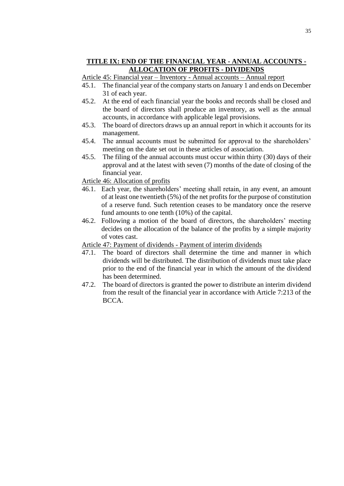## **TITLE IX: END OF THE FINANCIAL YEAR - ANNUAL ACCOUNTS - ALLOCATION OF PROFITS - DIVIDENDS**

- Article 45: Financial year Inventory Annual accounts Annual report
- 45.1. The financial year of the company starts on January 1 and ends on December 31 of each year.
- 45.2. At the end of each financial year the books and records shall be closed and the board of directors shall produce an inventory, as well as the annual accounts, in accordance with applicable legal provisions.
- 45.3. The board of directors draws up an annual report in which it accounts for its management.
- 45.4. The annual accounts must be submitted for approval to the shareholders' meeting on the date set out in these articles of association.
- 45.5. The filing of the annual accounts must occur within thirty (30) days of their approval and at the latest with seven (7) months of the date of closing of the financial year.
- Article 46: Allocation of profits
- 46.1. Each year, the shareholders' meeting shall retain, in any event, an amount of at least one twentieth (5%) of the net profits for the purpose of constitution of a reserve fund. Such retention ceases to be mandatory once the reserve fund amounts to one tenth (10%) of the capital.
- 46.2. Following a motion of the board of directors, the shareholders' meeting decides on the allocation of the balance of the profits by a simple majority of votes cast.

#### Article 47: Payment of dividends - Payment of interim dividends

- 47.1. The board of directors shall determine the time and manner in which dividends will be distributed. The distribution of dividends must take place prior to the end of the financial year in which the amount of the dividend has been determined.
- 47.2. The board of directors is granted the power to distribute an interim dividend from the result of the financial year in accordance with Article 7:213 of the BCCA.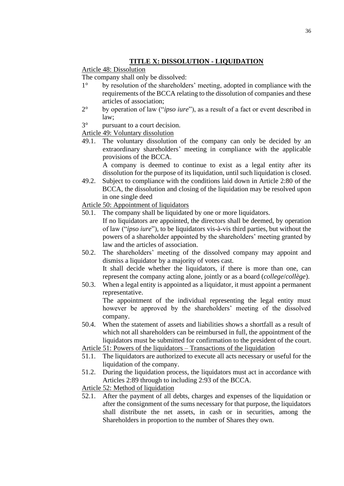## **TITLE X: DISSOLUTION - LIQUIDATION**

Article 48: Dissolution

The company shall only be dissolved:<br> $1^\circ$  by resolution of the shareholde

- by resolution of the shareholders' meeting, adopted in compliance with the requirements of the BCCA relating to the dissolution of companies and these articles of association;
- 2° by operation of law ("*ipso iure*"), as a result of a fact or event described in law;
- 3° pursuant to a court decision.

Article 49: Voluntary dissolution

49.1. The voluntary dissolution of the company can only be decided by an extraordinary shareholders' meeting in compliance with the applicable provisions of the BCCA.

A company is deemed to continue to exist as a legal entity after its dissolution for the purpose of its liquidation, until such liquidation is closed.

49.2. Subject to compliance with the conditions laid down in Article 2:80 of the BCCA, the dissolution and closing of the liquidation may be resolved upon in one single deed

Article 50: Appointment of liquidators

50.1. The company shall be liquidated by one or more liquidators.

If no liquidators are appointed, the directors shall be deemed, by operation of law ("*ipso iure*"), to be liquidators vis-à-vis third parties, but without the powers of a shareholder appointed by the shareholders' meeting granted by law and the articles of association.

- 50.2. The shareholders' meeting of the dissolved company may appoint and dismiss a liquidator by a majority of votes cast. It shall decide whether the liquidators, if there is more than one, can represent the company acting alone, jointly or as a board (*college*/*collège*).
- 50.3. When a legal entity is appointed as a liquidator, it must appoint a permanent representative.

The appointment of the individual representing the legal entity must however be approved by the shareholders' meeting of the dissolved company.

50.4. When the statement of assets and liabilities shows a shortfall as a result of which not all shareholders can be reimbursed in full, the appointment of the liquidators must be submitted for confirmation to the president of the court.

Article 51: Powers of the liquidators – Transactions of the liquidation

- 51.1. The liquidators are authorized to execute all acts necessary or useful for the liquidation of the company.
- 51.2. During the liquidation process, the liquidators must act in accordance with Articles 2:89 through to including 2:93 of the BCCA.

Article 52: Method of liquidation

52.1. After the payment of all debts, charges and expenses of the liquidation or after the consignment of the sums necessary for that purpose, the liquidators shall distribute the net assets, in cash or in securities, among the Shareholders in proportion to the number of Shares they own.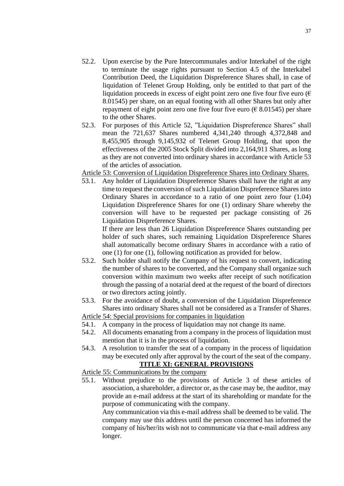- 52.2. Upon exercise by the Pure Intercommunales and/or Interkabel of the right to terminate the usage rights pursuant to Section 4.5 of the Interkabel Contribution Deed, the Liquidation Dispreference Shares shall, in case of liquidation of Telenet Group Holding, only be entitled to that part of the liquidation proceeds in excess of eight point zero one five four five euro ( $\epsilon$ ) 8.01545) per share, on an equal footing with all other Shares but only after repayment of eight point zero one five four five euro ( $\epsilon$  8.01545) per share to the other Shares.
- 52.3. For purposes of this Article 52, "Liquidation Dispreference Shares" shall mean the 721,637 Shares numbered 4,341,240 through 4,372,848 and 8,455,905 through 9,145,932 of Telenet Group Holding, that upon the effectiveness of the 2005 Stock Split divided into 2,164,911 Shares, as long as they are not converted into ordinary shares in accordance with Article 53 of the articles of association.

Article 53: Conversion of Liquidation Dispreference Shares into Ordinary Shares.

53.1. Any holder of Liquidation Dispreference Shares shall have the right at any time to request the conversion of such Liquidation Dispreference Shares into Ordinary Shares in accordance to a ratio of one point zero four (1.04) Liquidation Dispreference Shares for one (1) ordinary Share whereby the conversion will have to be requested per package consisting of 26 Liquidation Dispreference Shares.

If there are less than 26 Liquidation Dispreference Shares outstanding per holder of such shares, such remaining Liquidation Dispreference Shares shall automatically become ordinary Shares in accordance with a ratio of one (1) for one (1), following notification as provided for below.

- 53.2. Such holder shall notify the Company of his request to convert, indicating the number of shares to be converted, and the Company shall organize such conversion within maximum two weeks after receipt of such notification through the passing of a notarial deed at the request of the board of directors or two directors acting jointly.
- 53.3. For the avoidance of doubt, a conversion of the Liquidation Dispreference Shares into ordinary Shares shall not be considered as a Transfer of Shares.

Article 54: Special provisions for companies in liquidation

- 54.1. A company in the process of liquidation may not change its name.
- 54.2. All documents emanating from a company in the process of liquidation must mention that it is in the process of liquidation.
- 54.3. A resolution to transfer the seat of a company in the process of liquidation may be executed only after approval by the court of the seat of the company.

# **TITLE XI: GENERAL PROVISIONS**

Article 55: Communications by the company

55.1. Without prejudice to the provisions of Article 3 of these articles of association, a shareholder, a director or, as the case may be, the auditor, may provide an e-mail address at the start of its shareholding or mandate for the purpose of communicating with the company.

Any communication via this e-mail address shall be deemed to be valid. The company may use this address until the person concerned has informed the company of his/her/its wish not to communicate via that e-mail address any longer.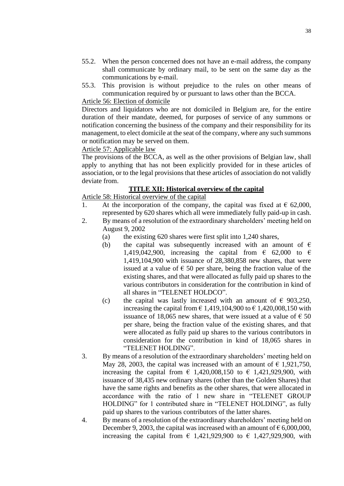- 55.2. When the person concerned does not have an e-mail address, the company shall communicate by ordinary mail, to be sent on the same day as the communications by e-mail.
- 55.3. This provision is without prejudice to the rules on other means of communication required by or pursuant to laws other than the BCCA.

### Article 56: Election of domicile

Directors and liquidators who are not domiciled in Belgium are, for the entire duration of their mandate, deemed, for purposes of service of any summons or notification concerning the business of the company and their responsibility for its management, to elect domicile at the seat of the company, where any such summons or notification may be served on them.

Article 57: Applicable law

The provisions of the BCCA, as well as the other provisions of Belgian law, shall apply to anything that has not been explicitly provided for in these articles of association, or to the legal provisions that these articles of association do not validly deviate from.

### **TITLE XII: Historical overview of the capital**

Article 58: Historical overview of the capital

- 1. At the incorporation of the company, the capital was fixed at  $\epsilon$  62,000, represented by 620 shares which all were immediately fully paid-up in cash.
- 2. By means of a resolution of the extraordinary shareholders' meeting held on August 9, 2002
	- (a) the existing 620 shares were first split into 1,240 shares,
	- (b) the capital was subsequently increased with an amount of  $\epsilon$ 1,419,042,900, increasing the capital from  $\epsilon$  62,000 to  $\epsilon$ 1,419,104,900 with issuance of 28,380,858 new shares, that were issued at a value of  $\epsilon$  50 per share, being the fraction value of the existing shares, and that were allocated as fully paid up shares to the various contributors in consideration for the contribution in kind of all shares in "TELENET HOLDCO".
	- (c) the capital was lastly increased with an amount of  $\epsilon$  903,250, increasing the capital from  $\epsilon$  1,419,104,900 to  $\epsilon$  1,420,008,150 with issuance of 18,065 new shares, that were issued at a value of  $\epsilon$  50 per share, being the fraction value of the existing shares, and that were allocated as fully paid up shares to the various contributors in consideration for the contribution in kind of 18,065 shares in "TELENET HOLDING".
- 3. By means of a resolution of the extraordinary shareholders' meeting held on May 28, 2003, the capital was increased with an amount of  $\epsilon$  1,921,750, increasing the capital from  $\epsilon$  1,420,008,150 to  $\epsilon$  1,421,929,900, with issuance of 38,435 new ordinary shares (other than the Golden Shares) that have the same rights and benefits as the other shares, that were allocated in accordance with the ratio of 1 new share in "TELENET GROUP HOLDING" for 1 contributed share in "TELENET HOLDING", as fully paid up shares to the various contributors of the latter shares.
- 4. By means of a resolution of the extraordinary shareholders' meeting held on December 9, 2003, the capital was increased with an amount of  $\epsilon$  6,000,000, increasing the capital from  $\epsilon$  1,421,929,900 to  $\epsilon$  1,427,929,900, with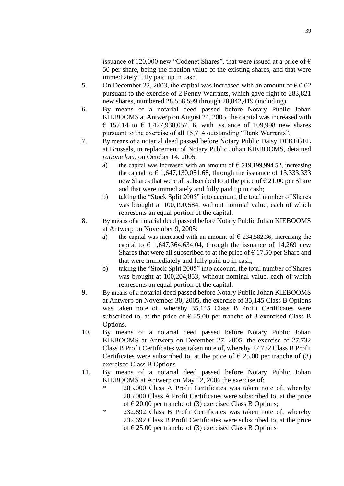issuance of 120,000 new "Codenet Shares", that were issued at a price of  $\epsilon$ 50 per share, being the fraction value of the existing shares, and that were immediately fully paid up in cash.

- 5. On December 22, 2003, the capital was increased with an amount of  $\epsilon$  0.02 pursuant to the exercise of 2 Penny Warrants, which gave right to 283,821 new shares, numbered 28,558,599 through 28,842,419 (including).
- 6. By means of a notarial deed passed before Notary Public Johan KIEBOOMS at Antwerp on August 24, 2005, the capital was increased with € 157.14 to € 1,427,930,057.16. with issuance of 109,998 new shares pursuant to the exercise of all 15,714 outstanding "Bank Warrants".
- 7. By means of a notarial deed passed before Notary Public Daisy DEKEGEL at Brussels, in replacement of Notary Public Johan KIEBOOMS, detained *ratione loci*, on October 14, 2005:
	- a) the capital was increased with an amount of  $\epsilon$  219,199,994.52, increasing the capital to  $\epsilon$  1,647,130,051.68, through the issuance of 13,333,333 new Shares that were all subscribed to at the price of  $\epsilon$  21.00 per Share and that were immediately and fully paid up in cash;
	- b) taking the "Stock Split 2005" into account, the total number of Shares was brought at 100,190,584, without nominal value, each of which represents an equal portion of the capital.
- 8. By means of a notarial deed passed before Notary Public Johan KIEBOOMS at Antwerp on November 9, 2005:
	- a) the capital was increased with an amount of  $\epsilon$  234,582.36, increasing the capital to  $\epsilon$  1,647,364,634.04, through the issuance of 14,269 new Shares that were all subscribed to at the price of  $\epsilon$  17.50 per Share and that were immediately and fully paid up in cash;
	- b) taking the "Stock Split 2005" into account, the total number of Shares was brought at 100,204,853, without nominal value, each of which represents an equal portion of the capital.
- 9. By means of a notarial deed passed before Notary Public Johan KIEBOOMS at Antwerp on November 30, 2005, the exercise of 35,145 Class B Options was taken note of, whereby 35,145 Class B Profit Certificates were subscribed to, at the price of  $\epsilon$  25.00 per tranche of 3 exercised Class B Options.
- 10. By means of a notarial deed passed before Notary Public Johan KIEBOOMS at Antwerp on December 27, 2005, the exercise of 27,732 Class B Profit Certificates was taken note of, whereby 27,732 Class B Profit Certificates were subscribed to, at the price of  $\epsilon$  25.00 per tranche of (3) exercised Class B Options
- 11. By means of a notarial deed passed before Notary Public Johan KIEBOOMS at Antwerp on May 12, 2006 the exercise of:
	- 285,000 Class A Profit Certificates was taken note of, whereby 285,000 Class A Profit Certificates were subscribed to, at the price of  $\epsilon$  20.00 per tranche of (3) exercised Class B Options;
	- \* 232,692 Class B Profit Certificates was taken note of, whereby 232,692 Class B Profit Certificates were subscribed to, at the price of  $\epsilon$  25.00 per tranche of (3) exercised Class B Options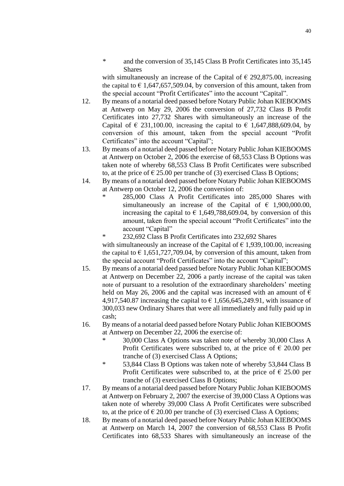\* and the conversion of 35,145 Class B Profit Certificates into 35,145 Shares

with simultaneously an increase of the Capital of  $\epsilon$  292,875.00, increasing the capital to  $\epsilon$  1,647,657,509.04, by conversion of this amount, taken from the special account "Profit Certificates" into the account "Capital".

- 12. By means of a notarial deed passed before Notary Public Johan KIEBOOMS at Antwerp on May 29, 2006 the conversion of 27,732 Class B Profit Certificates into 27,732 Shares with simultaneously an increase of the Capital of  $\in$  231,100.00, increasing the capital to  $\in$  1,647,888,609.04, by conversion of this amount, taken from the special account "Profit Certificates" into the account "Capital";
- 13. By means of a notarial deed passed before Notary Public Johan KIEBOOMS at Antwerp on October 2, 2006 the exercise of 68,553 Class B Options was taken note of whereby 68,553 Class B Profit Certificates were subscribed to, at the price of  $\epsilon$  25.00 per tranche of (3) exercised Class B Options;
- 14. By means of a notarial deed passed before Notary Public Johan KIEBOOMS at Antwerp on October 12, 2006 the conversion of:
	- 285,000 Class A Profit Certificates into 285,000 Shares with simultaneously an increase of the Capital of  $\epsilon$  1,900,000.00, increasing the capital to  $\epsilon$  1,649,788,609.04, by conversion of this amount, taken from the special account "Profit Certificates" into the account "Capital"

232,692 Class B Profit Certificates into 232,692 Shares with simultaneously an increase of the Capital of  $\epsilon$  1,939,100.00, increasing the capital to  $\epsilon$  1,651,727,709.04, by conversion of this amount, taken from the special account "Profit Certificates" into the account "Capital";

- 15. By means of a notarial deed passed before Notary Public Johan KIEBOOMS at Antwerp on December 22, 2006 a partly increase of the capital was taken note of pursuant to a resolution of the extraordinary shareholders' meeting held on May 26, 2006 and the capital was increased with an amount of  $\epsilon$ 4,917,540.87 increasing the capital to  $\epsilon$  1,656,645,249.91, with issuance of 300,033 new Ordinary Shares that were all immediately and fully paid up in cash;
- 16. By means of a notarial deed passed before Notary Public Johan KIEBOOMS at Antwerp on December 22, 2006 the exercise of:
	- \* 30,000 Class A Options was taken note of whereby 30,000 Class A Profit Certificates were subscribed to, at the price of  $\epsilon$  20.00 per tranche of (3) exercised Class A Options;
	- \* 53,844 Class B Options was taken note of whereby 53,844 Class B Profit Certificates were subscribed to, at the price of  $\epsilon$  25.00 per tranche of (3) exercised Class B Options;
- 17. By means of a notarial deed passed before Notary Public Johan KIEBOOMS at Antwerp on February 2, 2007 the exercise of 39,000 Class A Options was taken note of whereby 39,000 Class A Profit Certificates were subscribed to, at the price of  $\epsilon$  20.00 per tranche of (3) exercised Class A Options;
- 18. By means of a notarial deed passed before Notary Public Johan KIEBOOMS at Antwerp on March 14, 2007 the conversion of 68,553 Class B Profit Certificates into 68,533 Shares with simultaneously an increase of the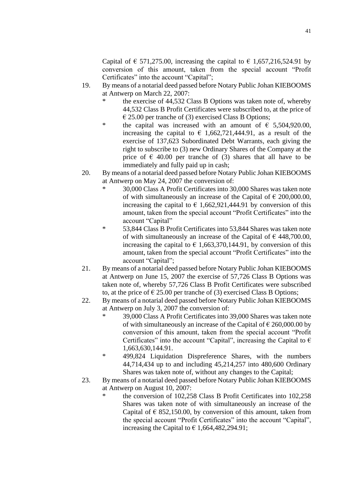Capital of  $\epsilon$  571,275.00, increasing the capital to  $\epsilon$  1,657,216,524.91 by conversion of this amount, taken from the special account "Profit Certificates" into the account "Capital";

- 19. By means of a notarial deed passed before Notary Public Johan KIEBOOMS at Antwerp on March 22, 2007:
	- the exercise of 44,532 Class B Options was taken note of, whereby 44,532 Class B Profit Certificates were subscribed to, at the price of  $\epsilon$  25.00 per tranche of (3) exercised Class B Options;
	- \* the capital was increased with an amount of  $\epsilon$  5,504,920.00, increasing the capital to  $\epsilon$  1,662,721,444.91, as a result of the exercise of 137,623 Subordinated Debt Warrants, each giving the right to subscribe to (3) new Ordinary Shares of the Company at the price of  $\epsilon$  40.00 per tranche of (3) shares that all have to be immediately and fully paid up in cash;
- 20. By means of a notarial deed passed before Notary Public Johan KIEBOOMS at Antwerp on May 24, 2007 the conversion of:
	- \* 30,000 Class A Profit Certificates into 30,000 Shares was taken note of with simultaneously an increase of the Capital of  $\epsilon$  200,000.00, increasing the capital to  $\epsilon$  1,662,921,444.91 by conversion of this amount, taken from the special account "Profit Certificates" into the account "Capital"
	- \* 53,844 Class B Profit Certificates into 53,844 Shares was taken note of with simultaneously an increase of the Capital of  $\epsilon$  448,700.00, increasing the capital to  $\epsilon$  1,663,370,144.91, by conversion of this amount, taken from the special account "Profit Certificates" into the account "Capital";
- 21. By means of a notarial deed passed before Notary Public Johan KIEBOOMS at Antwerp on June 15, 2007 the exercise of 57,726 Class B Options was taken note of, whereby 57,726 Class B Profit Certificates were subscribed to, at the price of  $\epsilon$  25.00 per tranche of (3) exercised Class B Options;
- 22. By means of a notarial deed passed before Notary Public Johan KIEBOOMS at Antwerp on July 3, 2007 the conversion of:
	- \* 39,000 Class A Profit Certificates into 39,000 Shares was taken note of with simultaneously an increase of the Capital of  $\epsilon$  260,000.00 by conversion of this amount, taken from the special account "Profit Certificates" into the account "Capital", increasing the Capital to  $\epsilon$ 1,663,630,144.91.
	- \* 499,824 Liquidation Dispreference Shares, with the numbers 44,714,434 up to and including 45,214,257 into 480,600 Ordinary Shares was taken note of, without any changes to the Capital;
- 23. By means of a notarial deed passed before Notary Public Johan KIEBOOMS at Antwerp on August 10, 2007:
	- the conversion of 102,258 Class B Profit Certificates into 102,258 Shares was taken note of with simultaneously an increase of the Capital of  $\epsilon$  852,150.00, by conversion of this amount, taken from the special account "Profit Certificates" into the account "Capital", increasing the Capital to  $\epsilon$  1,664,482,294.91;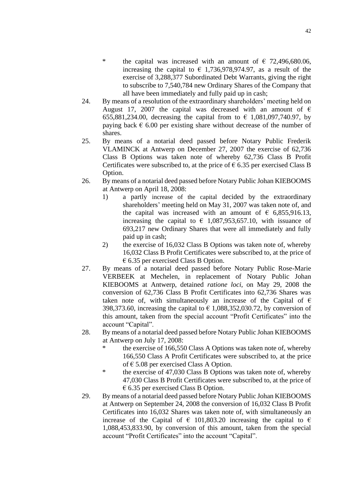- \* the capital was increased with an amount of  $\epsilon$  72,496,680.06, increasing the capital to  $\epsilon$  1,736,978,974.97, as a result of the exercise of 3,288,377 Subordinated Debt Warrants, giving the right to subscribe to 7,540,784 new Ordinary Shares of the Company that all have been immediately and fully paid up in cash;
- 24. By means of a resolution of the extraordinary shareholders' meeting held on August 17, 2007 the capital was decreased with an amount of  $\epsilon$ 655,881,234.00, decreasing the capital from to  $\epsilon$  1,081,097,740.97, by paying back  $\epsilon$  6.00 per existing share without decrease of the number of shares.
- 25. By means of a notarial deed passed before Notary Public Frederik VLAMINCK at Antwerp on December 27, 2007 the exercise of 62,736 Class B Options was taken note of whereby 62,736 Class B Profit Certificates were subscribed to, at the price of  $\epsilon$  6.35 per exercised Class B Option.
- 26. By means of a notarial deed passed before Notary Public Johan KIEBOOMS at Antwerp on April 18, 2008:
	- 1) a partly increase of the capital decided by the extraordinary shareholders' meeting held on May 31, 2007 was taken note of, and the capital was increased with an amount of  $\epsilon$  6,855,916.13, increasing the capital to  $\epsilon$  1,087,953,657.10, with issuance of 693,217 new Ordinary Shares that were all immediately and fully paid up in cash;
	- 2) the exercise of 16,032 Class B Options was taken note of, whereby 16,032 Class B Profit Certificates were subscribed to, at the price of  $\epsilon$  6.35 per exercised Class B Option.
- 27. By means of a notarial deed passed before Notary Public Rose-Marie VERBEEK at Mechelen, in replacement of Notary Public Johan KIEBOOMS at Antwerp, detained *ratione loci*, on May 29, 2008 the conversion of 62,736 Class B Profit Certificates into 62,736 Shares was taken note of, with simultaneously an increase of the Capital of  $\epsilon$ 398,373.60, increasing the capital to  $\epsilon$  1,088,352,030.72, by conversion of this amount, taken from the special account "Profit Certificates" into the account "Capital".
- 28. By means of a notarial deed passed before Notary Public Johan KIEBOOMS at Antwerp on July 17, 2008:
	- \* the exercise of 166,550 Class A Options was taken note of, whereby 166,550 Class A Profit Certificates were subscribed to, at the price of  $\epsilon$  5.08 per exercised Class A Option.
	- \* the exercise of 47,030 Class B Options was taken note of, whereby 47,030 Class B Profit Certificates were subscribed to, at the price of  $\epsilon$  6.35 per exercised Class B Option.
- 29. By means of a notarial deed passed before Notary Public Johan KIEBOOMS at Antwerp on September 24, 2008 the conversion of 16,032 Class B Profit Certificates into 16,032 Shares was taken note of, with simultaneously an increase of the Capital of  $\epsilon$  101,803.20 increasing the capital to  $\epsilon$ 1,088,453,833.90, by conversion of this amount, taken from the special account "Profit Certificates" into the account "Capital".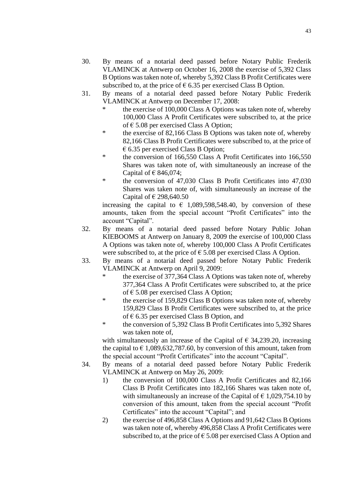- 30. By means of a notarial deed passed before Notary Public Frederik VLAMINCK at Antwerp on October 16, 2008 the exercise of 5,392 Class B Options was taken note of, whereby 5,392 Class B Profit Certificates were subscribed to, at the price of  $\epsilon$  6.35 per exercised Class B Option.
- 31. By means of a notarial deed passed before Notary Public Frederik VLAMINCK at Antwerp on December 17, 2008:
	- the exercise of 100,000 Class A Options was taken note of, whereby 100,000 Class A Profit Certificates were subscribed to, at the price of  $\epsilon$  5.08 per exercised Class A Option;
	- \* the exercise of 82,166 Class B Options was taken note of, whereby 82,166 Class B Profit Certificates were subscribed to, at the price of  $\epsilon$  6.35 per exercised Class B Option;
	- \* the conversion of 166,550 Class A Profit Certificates into 166,550 Shares was taken note of, with simultaneously an increase of the Capital of  $\in$  846,074;
	- \* the conversion of 47,030 Class B Profit Certificates into 47,030 Shares was taken note of, with simultaneously an increase of the Capital of  $\in$  298,640.50

increasing the capital to  $\epsilon$  1,089,598,548.40, by conversion of these amounts, taken from the special account "Profit Certificates" into the account "Capital".

- 32. By means of a notarial deed passed before Notary Public Johan KIEBOOMS at Antwerp on January 8, 2009 the exercise of 100,000 Class A Options was taken note of, whereby 100,000 Class A Profit Certificates were subscribed to, at the price of  $\epsilon$  5.08 per exercised Class A Option.
- 33. By means of a notarial deed passed before Notary Public Frederik VLAMINCK at Antwerp on April 9, 2009:
	- the exercise of 377,364 Class A Options was taken note of, whereby 377,364 Class A Profit Certificates were subscribed to, at the price of  $\epsilon$  5.08 per exercised Class A Option;
	- \* the exercise of 159,829 Class B Options was taken note of, whereby 159,829 Class B Profit Certificates were subscribed to, at the price of  $\epsilon$  6.35 per exercised Class B Option, and
	- \* the conversion of 5,392 Class B Profit Certificates into 5,392 Shares was taken note of,

with simultaneously an increase of the Capital of  $\epsilon$  34,239.20, increasing the capital to  $\epsilon$  1,089,632,787.60, by conversion of this amount, taken from the special account "Profit Certificates" into the account "Capital".

- 34. By means of a notarial deed passed before Notary Public Frederik VLAMINCK at Antwerp on May 26, 2009:
	- 1) the conversion of 100,000 Class A Profit Certificates and 82,166 Class B Profit Certificates into 182,166 Shares was taken note of, with simultaneously an increase of the Capital of  $\epsilon$  1,029,754.10 by conversion of this amount, taken from the special account "Profit Certificates" into the account "Capital"; and
	- 2) the exercise of 496,858 Class A Options and 91,642 Class B Options was taken note of, whereby 496,858 Class A Profit Certificates were subscribed to, at the price of  $\epsilon$  5.08 per exercised Class A Option and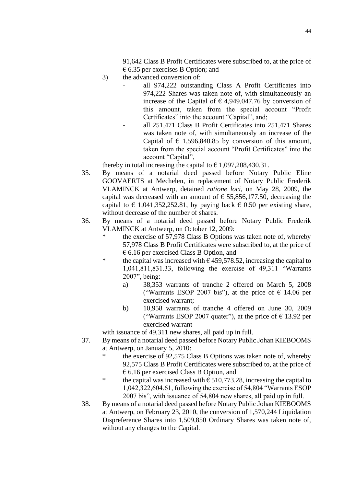91,642 Class B Profit Certificates were subscribed to, at the price of  $\epsilon$  6.35 per exercises B Option; and

- 3) the advanced conversion of:
	- all 974,222 outstanding Class A Profit Certificates into 974,222 Shares was taken note of, with simultaneously an increase of the Capital of  $\epsilon$  4,949,047.76 by conversion of this amount, taken from the special account "Profit Certificates" into the account "Capital", and;
	- all 251,471 Class B Profit Certificates into 251,471 Shares was taken note of, with simultaneously an increase of the Capital of  $\epsilon$  1,596,840.85 by conversion of this amount, taken from the special account "Profit Certificates" into the account "Capital",

thereby in total increasing the capital to  $\epsilon$  1,097,208,430.31.

- 35. By means of a notarial deed passed before Notary Public Eline GOOVAERTS at Mechelen, in replacement of Notary Public Frederik VLAMINCK at Antwerp, detained *ratione loci*, on May 28, 2009, the capital was decreased with an amount of  $\epsilon$  55,856,177.50, decreasing the capital to  $\epsilon$  1,041,352,252.81, by paying back  $\epsilon$  0.50 per existing share, without decrease of the number of shares.
- 36. By means of a notarial deed passed before Notary Public Frederik VLAMINCK at Antwerp, on October 12, 2009:
	- the exercise of 57,978 Class B Options was taken note of, whereby 57,978 Class B Profit Certificates were subscribed to, at the price of  $\epsilon$  6.16 per exercised Class B Option, and
	- \* the capital was increased with  $\epsilon$  459,578.52, increasing the capital to 1,041,811,831.33, following the exercise of 49,311 "Warrants 2007", being:
		- a) 38,353 warrants of tranche 2 offered on March 5, 2008 ("Warrants ESOP 2007 bis"), at the price of  $\epsilon$  14.06 per exercised warrant;
		- b) 10,958 warrants of tranche 4 offered on June 30, 2009 ("Warrants ESOP 2007 quater"), at the price of  $\epsilon$  13.92 per exercised warrant

with issuance of 49,311 new shares, all paid up in full.

- 37. By means of a notarial deed passed before Notary Public Johan KIEBOOMS at Antwerp, on January 5, 2010:
	- the exercise of 92,575 Class B Options was taken note of, whereby 92,575 Class B Profit Certificates were subscribed to, at the price of  $\epsilon$  6.16 per exercised Class B Option, and
	- \* the capital was increased with  $\epsilon$  510,773.28, increasing the capital to 1,042,322,604.61, following the exercise of 54,804 "Warrants ESOP 2007 bis", with issuance of 54,804 new shares, all paid up in full.
- 38. By means of a notarial deed passed before Notary Public Johan KIEBOOMS at Antwerp, on February 23, 2010, the conversion of 1,570,244 Liquidation Dispreference Shares into 1,509,850 Ordinary Shares was taken note of, without any changes to the Capital.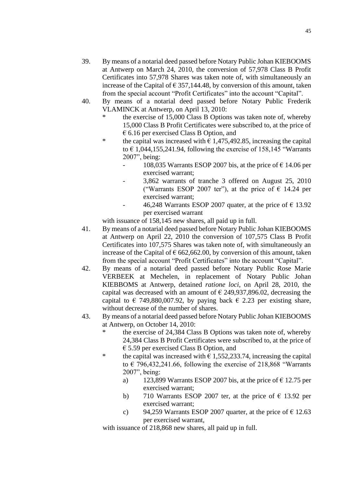- 39. By means of a notarial deed passed before Notary Public Johan KIEBOOMS at Antwerp on March 24, 2010, the conversion of 57,978 Class B Profit Certificates into 57,978 Shares was taken note of, with simultaneously an increase of the Capital of  $\epsilon$  357,144.48, by conversion of this amount, taken from the special account "Profit Certificates" into the account "Capital".
- 40. By means of a notarial deed passed before Notary Public Frederik VLAMINCK at Antwerp, on April 13, 2010:
	- the exercise of 15,000 Class B Options was taken note of, whereby 15,000 Class B Profit Certificates were subscribed to, at the price of  $\epsilon$  6.16 per exercised Class B Option, and
	- \* the capital was increased with  $\epsilon$  1,475,492.85, increasing the capital to  $\epsilon$  1,044,155,241.94, following the exercise of 158,145 "Warrants 2007", being:
		- 108,035 Warrants ESOP 2007 bis, at the price of  $\epsilon$  14.06 per exercised warrant;
		- 3,862 warrants of tranche 3 offered on August 25, 2010 ("Warrants ESOP 2007 ter"), at the price of  $\epsilon$  14.24 per exercised warrant;
		- 46,248 Warrants ESOP 2007 quater, at the price of  $\epsilon$  13.92 per exercised warrant

with issuance of 158,145 new shares, all paid up in full.

- 41. By means of a notarial deed passed before Notary Public Johan KIEBOOMS at Antwerp on April 22, 2010 the conversion of 107,575 Class B Profit Certificates into 107,575 Shares was taken note of, with simultaneously an increase of the Capital of  $\epsilon$  662,662.00, by conversion of this amount, taken from the special account "Profit Certificates" into the account "Capital".
- 42. By means of a notarial deed passed before Notary Public Rose Marie VERBEEK at Mechelen, in replacement of Notary Public Johan KIEBBOMS at Antwerp, detained *ratione loci*, on April 28, 2010, the capital was decreased with an amount of  $\epsilon$  249,937,896.02, decreasing the capital to  $\epsilon$  749,880,007.92, by paying back  $\epsilon$  2.23 per existing share, without decrease of the number of shares.
- 43. By means of a notarial deed passed before Notary Public Johan KIEBOOMS at Antwerp, on October 14, 2010:
	- \* the exercise of 24,384 Class B Options was taken note of, whereby 24,384 Class B Profit Certificates were subscribed to, at the price of  $\epsilon$  5.59 per exercised Class B Option, and
	- \* the capital was increased with  $\epsilon$  1,552,233.74, increasing the capital to  $\epsilon$  796,432,241.66, following the exercise of 218,868 "Warrants" 2007", being:
		- a) 123,899 Warrants ESOP 2007 bis, at the price of  $\epsilon$  12.75 per exercised warrant;
		- b) 710 Warrants ESOP 2007 ter, at the price of  $\epsilon$  13.92 per exercised warrant;
		- c) 94,259 Warrants ESOP 2007 quarter, at the price of  $\epsilon$  12.63 per exercised warrant,

with issuance of 218,868 new shares, all paid up in full.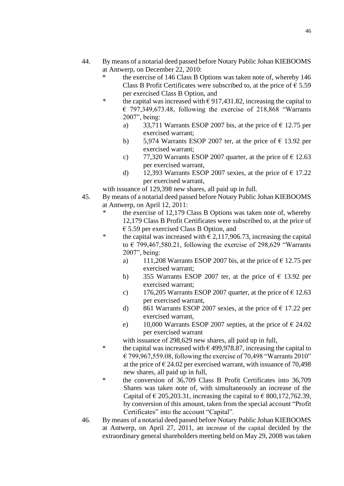- 44. By means of a notarial deed passed before Notary Public Johan KIEBOOMS at Antwerp, on December 22, 2010:
	- the exercise of 146 Class B Options was taken note of, whereby 146 Class B Profit Certificates were subscribed to, at the price of  $\epsilon$  5.59 per exercised Class B Option, and
	- \* the capital was increased with  $\epsilon$  917,431.82, increasing the capital to  $\epsilon$  797,349,673.48, following the exercise of 218,868 "Warrants 2007", being:
		- a) 33,711 Warrants ESOP 2007 bis, at the price of  $\epsilon$  12.75 per exercised warrant;
		- b) 5,974 Warrants ESOP 2007 ter, at the price of  $\epsilon$  13.92 per exercised warrant;
		- c) 77,320 Warrants ESOP 2007 quarter, at the price of  $\epsilon$  12.63 per exercised warrant,
		- d) 12,393 Warrants ESOP 2007 sexies, at the price of  $\epsilon$  17.22 per exercised warrant,

with issuance of 129,398 new shares, all paid up in full.

- 45. By means of a notarial deed passed before Notary Public Johan KIEBOOMS at Antwerp, on April 12, 2011:
	- the exercise of 12,179 Class B Options was taken note of, whereby 12,179 Class B Profit Certificates were subscribed to, at the price of  $\epsilon$  5.59 per exercised Class B Option, and
	- \* the capital was increased with  $\epsilon$  2,117,906.73, increasing the capital to  $\epsilon$  799,467,580.21, following the exercise of 298,629 "Warrants" 2007", being:
		- a) 111,208 Warrants ESOP 2007 bis, at the price of  $\epsilon$  12.75 per exercised warrant;
		- b) 355 Warrants ESOP 2007 ter, at the price of  $\epsilon$  13.92 per exercised warrant;
		- c) 176,205 Warrants ESOP 2007 quarter, at the price of  $\epsilon$  12.63 per exercised warrant,
		- d) 861 Warrants ESOP 2007 sexies, at the price of  $\epsilon$  17.22 per exercised warrant,
		- e) 10,000 Warrants ESOP 2007 septies, at the price of  $\epsilon$  24.02 per exercised warrant

with issuance of 298,629 new shares, all paid up in full,

- \* the capital was increased with  $\epsilon$  499,978.87, increasing the capital to  $\epsilon$  799,967,559.08, following the exercise of 70,498 "Warrants 2010" at the price of  $\epsilon$  24.02 per exercised warrant, with issuance of 70,498 new shares, all paid up in full,
- \* the conversion of 36,709 Class B Profit Certificates into 36,709 Shares was taken note of, with simultaneously an increase of the Capital of  $\epsilon$  205, 203.31, increasing the capital to  $\epsilon$  800, 172, 762.39, by conversion of this amount, taken from the special account "Profit Certificates" into the account "Capital".
- 46. By means of a notarial deed passed before Notary Public Johan KIEBOOMS at Antwerp, on April 27, 2011, an increase of the capital decided by the extraordinary general shareholders meeting held on May 29, 2008 was taken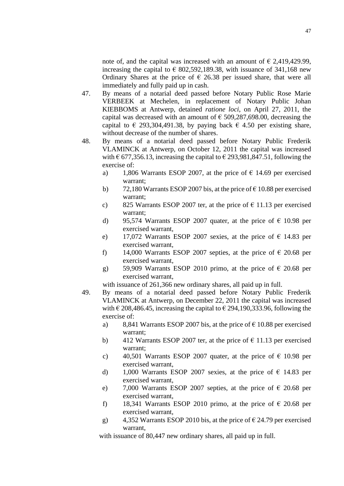note of, and the capital was increased with an amount of  $\epsilon$  2,419,429.99, increasing the capital to  $\epsilon$  802,592,189.38, with issuance of 341,168 new Ordinary Shares at the price of  $\epsilon$  26.38 per issued share, that were all immediately and fully paid up in cash.

- 47. By means of a notarial deed passed before Notary Public Rose Marie VERBEEK at Mechelen, in replacement of Notary Public Johan KIEBBOMS at Antwerp, detained *ratione loci*, on April 27, 2011, the capital was decreased with an amount of  $\epsilon$  509,287,698.00, decreasing the capital to  $\epsilon$  293,304,491.38, by paying back  $\epsilon$  4.50 per existing share, without decrease of the number of shares.
- 48. By means of a notarial deed passed before Notary Public Frederik VLAMINCK at Antwerp, on October 12, 2011 the capital was increased with  $\epsilon$  677, 356.13, increasing the capital to  $\epsilon$  293, 981, 847.51, following the exercise of:
	- a) 1,806 Warrants ESOP 2007, at the price of  $\epsilon$  14.69 per exercised warrant;
	- b) 72,180 Warrants ESOP 2007 bis, at the price of  $\epsilon$  10.88 per exercised warrant;
	- c) 825 Warrants ESOP 2007 ter, at the price of  $\epsilon$  11.13 per exercised warrant;
	- d) 95,574 Warrants ESOP 2007 quater, at the price of  $\epsilon$  10.98 per exercised warrant,
	- e) 17,072 Warrants ESOP 2007 sexies, at the price of  $\epsilon$  14.83 per exercised warrant,
	- f) 14,000 Warrants ESOP 2007 septies, at the price of  $\epsilon$  20.68 per exercised warrant,
	- g) 59,909 Warrants ESOP 2010 primo, at the price of  $\epsilon$  20.68 per exercised warrant,

with issuance of 261,366 new ordinary shares, all paid up in full.

- 49. By means of a notarial deed passed before Notary Public Frederik VLAMINCK at Antwerp, on December 22, 2011 the capital was increased with  $\epsilon$  208,486.45, increasing the capital to  $\epsilon$  294,190,333.96, following the exercise of:
	- a) 8,841 Warrants ESOP 2007 bis, at the price of  $\epsilon$  10.88 per exercised warrant;
	- b) 412 Warrants ESOP 2007 ter, at the price of  $\epsilon$  11.13 per exercised warrant;
	- c) 40,501 Warrants ESOP 2007 quater, at the price of  $\epsilon$  10.98 per exercised warrant,
	- d) 1,000 Warrants ESOP 2007 sexies, at the price of  $\epsilon$  14.83 per exercised warrant,
	- e) 7,000 Warrants ESOP 2007 septies, at the price of  $\epsilon$  20.68 per exercised warrant,
	- f) 18,341 Warrants ESOP 2010 primo, at the price of  $\epsilon$  20.68 per exercised warrant,
	- g) 4,352 Warrants ESOP 2010 bis, at the price of  $\epsilon$  24.79 per exercised warrant,

with issuance of 80,447 new ordinary shares, all paid up in full.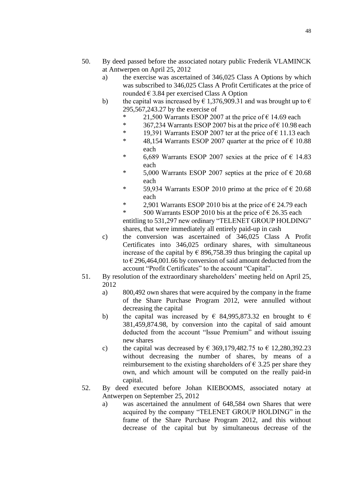- 50. By deed passed before the associated notary public Frederik VLAMINCK at Antwerpen on April 25, 2012
	- a) the exercise was ascertained of 346,025 Class A Options by which was subscribed to 346,025 Class A Profit Certificates at the price of rounded  $\in$  3.84 per exercised Class A Option
	- b) the capital was increased by  $\epsilon$  1,376,909.31 and was brought up to  $\epsilon$ 295,567,243.27 by the exercise of
		- \* 21,500 Warrants ESOP 2007 at the price of  $\epsilon$  14.69 each<br>\* 367.234 Warrants ESOP 2007 bis at the price of  $\epsilon$  10.98 ex-
		- 367,234 Warrants ESOP 2007 bis at the price of  $\epsilon$  10.98 each
		- \* 19,391 Warrants ESOP 2007 ter at the price of  $\epsilon$  11.13 each
		- \* 48,154 Warrants ESOP 2007 quarter at the price of  $\epsilon$  10.88 each
		- \* 6,689 Warrants ESOP 2007 sexies at the price of  $\epsilon$  14.83 each
		- \* 5,000 Warrants ESOP 2007 septies at the price of  $\epsilon$  20.68 each
		- \* 59,934 Warrants ESOP 2010 primo at the price of  $\epsilon$  20.68 each
		- \* 2,901 Warrants ESOP 2010 bis at the price of  $\epsilon$  24.79 each

\* 500 Warrants ESOP 2010 bis at the price of  $\epsilon$  26.35 each entitling to 531,297 new ordinary "TELENET GROUP HOLDING" shares, that were immediately all entirely paid-up in cash

- c) the conversion was ascertained of 346,025 Class A Profit Certificates into 346,025 ordinary shares, with simultaneous increase of the capital by  $\epsilon$  896,758.39 thus bringing the capital up to € 296,464,001.66 by conversion of said amount deducted from the account "Profit Certificates" to the account "Capital".
- 51. By resolution of the extraordinary shareholders' meeting held on April 25, 2012
	- a) 800,492 own shares that were acquired by the company in the frame of the Share Purchase Program 2012, were annulled without decreasing the capital
	- b) the capital was increased by  $\epsilon$  84,995,873.32 en brought to  $\epsilon$ 381,459,874.98, by conversion into the capital of said amount deducted from the account "Issue Premium" and without issuing new shares
	- c) the capital was decreased by  $\epsilon$  369,179,482.75 to  $\epsilon$  12,280,392.23 without decreasing the number of shares, by means of a reimbursement to the existing shareholders of  $\epsilon$  3.25 per share they own, and which amount will be computed on the really paid-in capital.
- 52. By deed executed before Johan KIEBOOMS, associated notary at Antwerpen on September 25, 2012
	- a) was ascertained the annulment of 648,584 own Shares that were acquired by the company "TELENET GROUP HOLDING" in the frame of the Share Purchase Program 2012, and this without decrease of the capital but by simultaneous decrease of the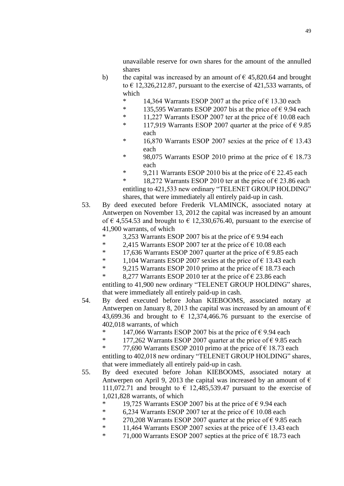unavailable reserve for own shares for the amount of the annulled shares

- b) the capital was increased by an amount of  $\epsilon$  45,820.64 and brought to  $\epsilon$  12,326,212.87, pursuant to the exercise of 421,533 warrants, of which
	- 14,364 Warrants ESOP 2007 at the price of  $\epsilon$  13.30 each
	- \* 135,595 Warrants ESOP 2007 bis at the price of  $\epsilon$  9.94 each
	- \* 11,227 Warrants ESOP 2007 ter at the price of  $\epsilon$  10.08 each
	- \* 117,919 Warrants ESOP 2007 quarter at the price of  $\epsilon$  9.85 each
	- \* 16,870 Warrants ESOP 2007 sexies at the price of  $\epsilon$  13.43 each
	- \* 98,075 Warrants ESOP 2010 primo at the price of  $\epsilon$  18.73 each
	- \* 9,211 Warrants ESOP 2010 bis at the price of  $\epsilon$  22.45 each

\* 18,272 Warrants ESOP 2010 ter at the price of  $\epsilon$  23.86 each entitling to 421,533 new ordinary "TELENET GROUP HOLDING" shares, that were immediately all entirely paid-up in cash.

- 53. By deed executed before Frederik VLAMINCK, associated notary at Antwerpen on November 13, 2012 the capital was increased by an amount of  $\epsilon$  4,554.53 and brought to  $\epsilon$  12,330,676.40, pursuant to the exercise of 41,900 warrants, of which
	- \* 3,253 Warrants ESOP 2007 bis at the price of  $\epsilon$  9.94 each
	- \* 2,415 Warrants ESOP 2007 ter at the price of  $\epsilon$  10.08 each
	- \* 17,636 Warrants ESOP 2007 quarter at the price of  $\epsilon$  9.85 each
	- \* 1,104 Warrants ESOP 2007 sexies at the price of  $\epsilon$  13.43 each
	- \* 9,215 Warrants ESOP 2010 primo at the price of  $\epsilon$  18.73 each

\* 8,277 Warrants ESOP 2010 ter at the price of  $\epsilon$  23.86 each entitling to 41,900 new ordinary "TELENET GROUP HOLDING" shares, that were immediately all entirely paid-up in cash.

- 54. By deed executed before Johan KIEBOOMS, associated notary at Antwerpen on January 8, 2013 the capital was increased by an amount of  $\epsilon$ 43,699.36 and brought to  $\epsilon$  12,374,466.76 pursuant to the exercise of 402,018 warrants, of which
	- \* 147,066 Warrants ESOP 2007 bis at the price of  $\epsilon$  9.94 each  $*$  177,262 Wewents ESOP 2007 quarter at the price of  $\epsilon$  9.85 s
	- 177,262 Warrants ESOP 2007 quarter at the price of  $\epsilon$  9.85 each
	- \* 77,690 Warrants ESOP 2010 primo at the price of  $\epsilon$  18.73 each entitling to 402,018 new ordinary "TELENET GROUP HOLDING" shares, that were immediately all entirely paid-up in cash.
- 55. By deed executed before Johan KIEBOOMS, associated notary at Antwerpen on April 9, 2013 the capital was increased by an amount of  $\epsilon$ 111,072.71 and brought to  $\epsilon$  12,485,539.47 pursuant to the exercise of 1,021,828 warrants, of which
	- \* 19,725 Warrants ESOP 2007 bis at the price of  $\epsilon$  9.94 each
	- \* 6,234 Warrants ESOP 2007 ter at the price of  $\epsilon$  10.08 each
	- \* 270,208 Warrants ESOP 2007 quarter at the price of  $\epsilon$  9.85 each
	- \* 11,464 Warrants ESOP 2007 sexies at the price of  $\epsilon$  13.43 each
	- \* 71,000 Warrants ESOP 2007 septies at the price of  $\epsilon$  18.73 each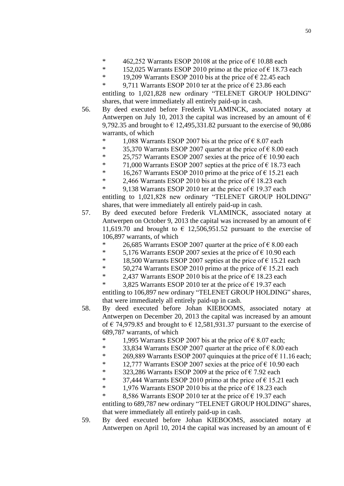- \* 462,252 Warrants ESOP 20108 at the price of  $\epsilon$  10.88 each<br>\* 152.025 Warrants ESOP 2010 prime at the price of  $\epsilon$  18.73
- 152,025 Warrants ESOP 2010 primo at the price of  $\epsilon$  18.73 each
- \* 19,209 Warrants ESOP 2010 bis at the price of  $\epsilon$  22.45 each  $\epsilon$  2.711 Weights ESOP 2010 terms the price of  $\epsilon$  23.86 each
- 9,711 Warrants ESOP 2010 ter at the price of  $\epsilon$  23.86 each entitling to 1,021,828 new ordinary "TELENET GROUP HOLDING" shares, that were immediately all entirely paid-up in cash.
- 56. By deed executed before Frederik VLAMINCK, associated notary at Antwerpen on July 10, 2013 the capital was increased by an amount of  $\epsilon$ 9,792.35 and brought to  $\epsilon$  12,495,331.82 pursuant to the exercise of 90,086 warrants, of which
	- \* 1,088 Warrants ESOP 2007 bis at the price of  $\epsilon$  8.07 each
	- \* 35,370 Warrants ESOP 2007 quarter at the price of  $\epsilon$  8.00 each
	- \* 25,757 Warrants ESOP 2007 sexies at the price of  $\epsilon$  10.90 each
	- \* 71,000 Warrants ESOP 2007 septies at the price of  $\epsilon$  18.73 each
	- \* 16,267 Warrants ESOP 2010 primo at the price of  $\epsilon$  15.21 each
	- \* 2.466 Warrants ESOP 2010 bis at the price of  $\epsilon$  18.23 each
	- \* 9,138 Warrants ESOP 2010 ter at the price of  $\epsilon$  19.37 each entitling to 1,021,828 new ordinary "TELENET GROUP HOLDING" shares, that were immediately all entirely paid-up in cash.
- 57. By deed executed before Frederik VLAMINCK, associated notary at Antwerpen on October 9, 2013 the capital was increased by an amount of  $\epsilon$ 11,619.70 and brought to  $\epsilon$  12,506,951.52 pursuant to the exercise of 106,897 warrants, of which
	- \* 26,685 Warrants ESOP 2007 quarter at the price of  $\epsilon$  8.00 each
	- \* 5,176 Warrants ESOP 2007 sexies at the price of  $\epsilon$  10.90 each
	- \* 18,500 Warrants ESOP 2007 septies at the price of  $\epsilon$  15.21 each
	- \* 50,274 Warrants ESOP 2010 primo at the price of  $\epsilon$  15.21 each
	- \* 2,437 Warrants ESOP 2010 bis at the price of  $\epsilon$  18.23 each
	- 3,825 Warrants ESOP 2010 ter at the price of  $\epsilon$  19.37 each

entitling to 106,897 new ordinary "TELENET GROUP HOLDING" shares, that were immediately all entirely paid-up in cash.

- 58. By deed executed before Johan KIEBOOMS, associated notary at Antwerpen on December 20, 2013 the capital was increased by an amount of  $\epsilon$  74,979.85 and brought to  $\epsilon$  12,581,931.37 pursuant to the exercise of 689,787 warrants, of which
	- 1,995 Warrants ESOP 2007 bis at the price of  $\epsilon$  8.07 each;
	- \* 33,834 Warrants ESOP 2007 quarter at the price of  $\epsilon$  8.00 each
	- \* 269,889 Warrants ESOP 2007 quinquies at the price of  $\epsilon$  11.16 each;
	- \* 12,777 Warrants ESOP 2007 sexies at the price of  $\epsilon$  10.90 each
	- \* 323,286 Warrants ESOP 2009 at the price of  $\epsilon$  7.92 each
	- \* 37,444 Warrants ESOP 2010 primo at the price of  $\epsilon$  15.21 each
	- \* 1,976 Warrants ESOP 2010 bis at the price of  $\epsilon$  18.23 each
	- \* 8,586 Warrants ESOP 2010 ter at the price of  $\epsilon$  19.37 each entitling to 689,787 new ordinary "TELENET GROUP HOLDING" shares, that were immediately all entirely paid-up in cash.
- 59. By deed executed before Johan KIEBOOMS, associated notary at Antwerpen on April 10, 2014 the capital was increased by an amount of  $\epsilon$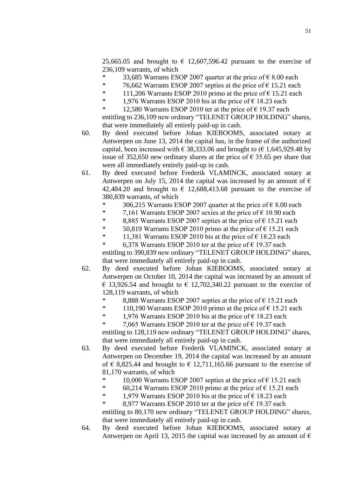25,665.05 and brought to  $\epsilon$  12,607,596.42 pursuant to the exercise of 236,109 warrants, of which

- <sup>\*</sup> 33,685 Warrants ESOP 2007 quarter at the price of  $\epsilon$  8.00 each  $\epsilon$  76.662 Warrants ESOP 2007 senties at the price of  $\epsilon$  15.21 each
- 76,662 Warrants ESOP 2007 septies at the price of  $\epsilon$  15.21 each
- \* 111,206 Warrants ESOP 2010 primo at the price of  $\epsilon$  15.21 each  $*$  1.076 Warrants ESOP 2010 bis at the price of  $\epsilon$  18.23 each
- 1,976 Warrants ESOP 2010 bis at the price of  $\epsilon$  18.23 each
- \* 12,580 Warrants ESOP 2010 ter at the price of  $\epsilon$  19.37 each entitling to 236,109 new ordinary "TELENET GROUP HOLDING" shares, that were immediately all entirely paid-up in cash.
- 60. By deed executed before Johan KIEBOOMS, associated notary at Antwerpen on June 13, 2014 the capital has, in the frame of the authorized capital, been increased with  $\epsilon$  38,333.06 and brought to ( $\epsilon$  1,645,929.48 by issue of 352,650 new ordinary shares at the price of  $\epsilon$  35.65 per share that were all immediately entirely paid-up in cash.
- 61. By deed executed before Frederik VLAMINCK, associated notary at Antwerpen on July 15, 2014 the capital was increased by an amount of  $\epsilon$ 42,484.20 and brought to  $\epsilon$  12,688,413.68 pursuant to the exercise of 380,839 warrants, of which
	- 306,215 Warrants ESOP 2007 quarter at the price of  $\epsilon$  8.00 each
	- \* 7,161 Warrants ESOP 2007 sexies at the price of  $\epsilon$  10.90 each
	- \* 8,885 Warrants ESOP 2007 septies at the price of  $\epsilon$  15.21 each
	- \* 50,819 Warrants ESOP 2010 primo at the price of  $\epsilon$  15.21 each
	- \* 11,381 Warrants ESOP 2010 bis at the price of  $\epsilon$  18.23 each
	- \* 6,378 Warrants ESOP 2010 ter at the price of  $\epsilon$  19.37 each entitling to 390,839 new ordinary "TELENET GROUP HOLDING" shares, that were immediately all entirely paid-up in cash.
- 62. By deed executed before Johan KIEBOOMS, associated notary at Antwerpen on October 10, 2014 the capital was increased by an amount of  $\epsilon$  13,926.54 and brought to  $\epsilon$  12,702,340.22 pursuant to the exercise of 128,119 warrants, of which
	- \* 8,888 Warrants ESOP 2007 septies at the price of  $\epsilon$  15.21 each
	- \* 110,190 Warrants ESOP 2010 primo at the price of  $\epsilon$  15.21 each
	- \* 1,976 Warrants ESOP 2010 bis at the price of  $\epsilon$  18.23 each
		- 7,065 Warrants ESOP 2010 ter at the price of  $\epsilon$  19.37 each
	- entitling to 128,119 new ordinary "TELENET GROUP HOLDING" shares, that were immediately all entirely paid-up in cash.
- 63. By deed executed before Frederik VLAMINCK, associated notary at Antwerpen on December 19, 2014 the capital was increased by an amount of  $\epsilon$  8,825.44 and brought to  $\epsilon$  12,711,165.66 pursuant to the exercise of 81,170 warrants, of which
	- \* 10,000 Warrants ESOP 2007 septies at the price of  $\epsilon$  15.21 each
	- \* 60,214 Warrants ESOP 2010 primo at the price of  $\epsilon$  15.21 each
	- \* 1,979 Warrants ESOP 2010 bis at the price of  $\epsilon$  18.23 each
		- 8,977 Warrants ESOP 2010 ter at the price of  $\epsilon$  19.37 each

entitling to 80,170 new ordinary "TELENET GROUP HOLDING" shares, that were immediately all entirely paid-up in cash.

64. By deed executed before Johan KIEBOOMS, associated notary at Antwerpen on April 13, 2015 the capital was increased by an amount of  $\epsilon$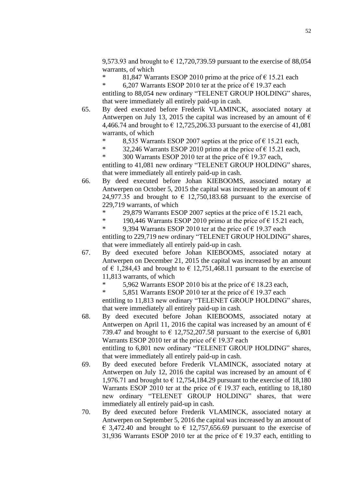9,573.93 and brought to  $\epsilon$  12,720,739.59 pursuant to the exercise of 88,054 warrants, of which

<sup>\*</sup> 81,847 Warrants ESOP 2010 primo at the price of  $\epsilon$  15.21 each<br>
<sup>\*</sup> 6.207 Warrants ESOP 2010 ter at the price of  $\epsilon$  19.37 each

6,207 Warrants ESOP 2010 ter at the price of  $\epsilon$  19.37 each entitling to 88,054 new ordinary "TELENET GROUP HOLDING" shares, that were immediately all entirely paid-up in cash.

- 65. By deed executed before Frederik VLAMINCK, associated notary at Antwerpen on July 13, 2015 the capital was increased by an amount of  $\epsilon$ 4,466.74 and brought to  $\epsilon$  12,725,206.33 pursuant to the exercise of 41,081 warrants, of which
	- \* 8,535 Warrants ESOP 2007 septies at the price of  $\epsilon$  15.21 each,<br>\* 32.246 Warrants ESOP 2010 prime at the price of  $\epsilon$  15.21 each.
	- 32,246 Warrants ESOP 2010 primo at the price of  $\epsilon$  15.21 each,
	- \* 300 Warrants ESOP 2010 ter at the price of  $\epsilon$  19.37 each,

entitling to 41,081 new ordinary "TELENET GROUP HOLDING" shares, that were immediately all entirely paid-up in cash.

- 66. By deed executed before Johan KIEBOOMS, associated notary at Antwerpen on October 5, 2015 the capital was increased by an amount of  $\epsilon$ 24,977.35 and brought to  $\epsilon$  12,750,183.68 pursuant to the exercise of 229,719 warrants, of which
	- \* 29,879 Warrants ESOP 2007 septies at the price of  $\epsilon$  15.21 each,<br>\* 100.446 Warrants ESOP 2010 prime at the price of  $\epsilon$  15.21 each.
		- 190,446 Warrants ESOP 2010 primo at the price of  $\epsilon$  15.21 each,

\* 9,394 Warrants ESOP 2010 ter at the price of  $\epsilon$  19.37 each entitling to 229,719 new ordinary "TELENET GROUP HOLDING" shares, that were immediately all entirely paid-up in cash.

- 67. By deed executed before Johan KIEBOOMS, associated notary at Antwerpen on December 21, 2015 the capital was increased by an amount of  $\epsilon$  1,284,43 and brought to  $\epsilon$  12,751,468.11 pursuant to the exercise of 11,813 warrants, of which
	- 5,962 Warrants ESOP 2010 bis at the price of  $\epsilon$  18.23 each,

\* 5,851 Warrants ESOP 2010 ter at the price of  $\epsilon$  19.37 each

entitling to 11,813 new ordinary "TELENET GROUP HOLDING" shares, that were immediately all entirely paid-up in cash.

68. By deed executed before Johan KIEBOOMS, associated notary at Antwerpen on April 11, 2016 the capital was increased by an amount of  $\epsilon$ 739.47 and brought to  $\epsilon$  12,752,207.58 pursuant to the exercise of 6,801 Warrants ESOP 2010 ter at the price of  $\epsilon$  19.37 each

entitling to 6,801 new ordinary "TELENET GROUP HOLDING" shares, that were immediately all entirely paid-up in cash.

- 69. By deed executed before Frederik VLAMINCK, associated notary at Antwerpen on July 12, 2016 the capital was increased by an amount of  $\epsilon$ 1,976.71 and brought to  $\epsilon$  12,754,184.29 pursuant to the exercise of 18,180 Warrants ESOP 2010 ter at the price of  $\epsilon$  19.37 each, entitling to 18,180 new ordinary "TELENET GROUP HOLDING" shares, that were immediately all entirely paid-up in cash.
- 70. By deed executed before Frederik VLAMINCK, associated notary at Antwerpen on September 5, 2016 the capital was increased by an amount of  $\epsilon$  3,472.40 and brought to  $\epsilon$  12,757,656.69 pursuant to the exercise of 31,936 Warrants ESOP 2010 ter at the price of  $\epsilon$  19.37 each, entitling to